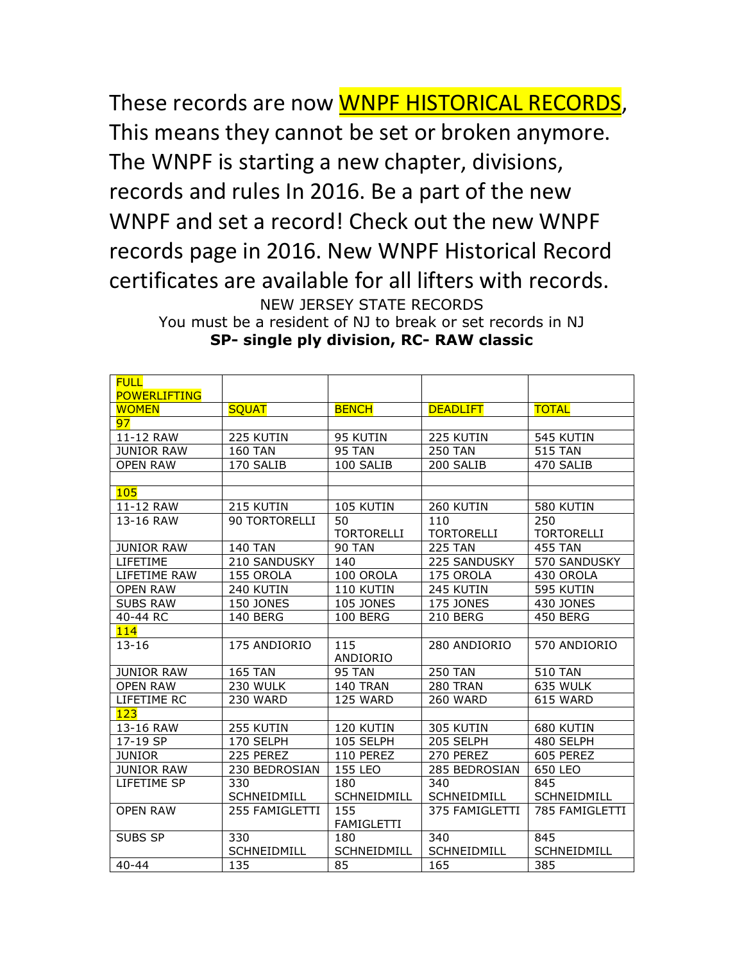These records are now WNPF HISTORICAL RECORDS, This means they cannot be set or broken anymore. The WNPF is starting a new chapter, divisions, records and rules In 2016. Be a part of the new WNPF and set a record! Check out the new WNPF records page in 2016. New WNPF Historical Record certificates are available for all lifters with records. NEW JERSEY STATE RECORDS

You must be a resident of NJ to break or set records in NJ **SP- single ply division, RC- RAW classic**

| <b>FULL</b><br><b>POWERLIFTING</b> |                    |                    |                    |                   |
|------------------------------------|--------------------|--------------------|--------------------|-------------------|
| <b>WOMEN</b>                       | <b>SQUAT</b>       | <b>BENCH</b>       | <b>DEADLIFT</b>    | <b>TOTAL</b>      |
| 97                                 |                    |                    |                    |                   |
| 11-12 RAW                          | 225 KUTIN          | 95 KUTIN           | 225 KUTIN          | 545 KUTIN         |
| <b>JUNIOR RAW</b>                  | <b>160 TAN</b>     | <b>95 TAN</b>      | <b>250 TAN</b>     | <b>515 TAN</b>    |
| <b>OPEN RAW</b>                    | 170 SALIB          | 100 SALIB          | 200 SALIB          | 470 SALIB         |
|                                    |                    |                    |                    |                   |
| 105                                |                    |                    |                    |                   |
| 11-12 RAW                          | 215 KUTIN          | 105 KUTIN          | 260 KUTIN          | 580 KUTIN         |
| 13-16 RAW                          | 90 TORTORELLI      | 50                 | 110                | 250               |
|                                    |                    | <b>TORTORELLI</b>  | <b>TORTORELLI</b>  | <b>TORTORELLI</b> |
| <b>JUNIOR RAW</b>                  | <b>140 TAN</b>     | <b>90 TAN</b>      | <b>225 TAN</b>     | <b>455 TAN</b>    |
| LIFETIME                           | 210 SANDUSKY       | 140                | 225 SANDUSKY       | 570 SANDUSKY      |
| LIFETIME RAW                       | 155 OROLA          | 100 OROLA          | 175 OROLA          | 430 OROLA         |
| <b>OPEN RAW</b>                    | 240 KUTIN          | 110 KUTIN          | 245 KUTIN          | 595 KUTIN         |
| <b>SUBS RAW</b>                    | <b>150 JONES</b>   | <b>105 JONES</b>   | <b>175 JONES</b>   | 430 JONES         |
| 40-44 RC                           | <b>140 BERG</b>    | <b>100 BERG</b>    | 210 BERG           | 450 BERG          |
| 114                                |                    |                    |                    |                   |
| $13 - 16$                          | 175 ANDIORIO       | 115                | 280 ANDIORIO       | 570 ANDIORIO      |
|                                    |                    | ANDIORIO           |                    |                   |
| <b>JUNIOR RAW</b>                  | <b>165 TAN</b>     | <b>95 TAN</b>      | <b>250 TAN</b>     | <b>510 TAN</b>    |
| <b>OPEN RAW</b>                    | 230 WULK           | 140 TRAN           | 280 TRAN           | 635 WULK          |
| LIFETIME RC                        | 230 WARD           | 125 WARD           | <b>260 WARD</b>    | 615 WARD          |
| 123                                |                    |                    |                    |                   |
| 13-16 RAW                          | 255 KUTIN          | 120 KUTIN          | 305 KUTIN          | 680 KUTIN         |
| 17-19 SP                           | 170 SELPH          | 105 SELPH          | 205 SELPH          | 480 SELPH         |
| <b>JUNIOR</b>                      | 225 PEREZ          | 110 PEREZ          | 270 PEREZ          | 605 PEREZ         |
| JUNIOR RAW                         | 230 BEDROSIAN      | 155 LEO            | 285 BEDROSIAN      | 650 LEO           |
| LIFETIME SP                        | 330                | 180                | 340                | 845               |
|                                    | <b>SCHNEIDMILL</b> | SCHNEIDMILL        | <b>SCHNEIDMILL</b> | SCHNEIDMILL       |
| <b>OPEN RAW</b>                    | 255 FAMIGLETTI     | 155                | 375 FAMIGLETTI     | 785 FAMIGLETTI    |
|                                    |                    | <b>FAMIGLETTI</b>  |                    |                   |
| SUBS SP                            | 330                | 180                | 340                | 845               |
|                                    | SCHNEIDMILL        | <b>SCHNEIDMILL</b> | <b>SCHNEIDMILL</b> | SCHNEIDMILL       |
| $40 - 44$                          | 135                | 85                 | 165                | 385               |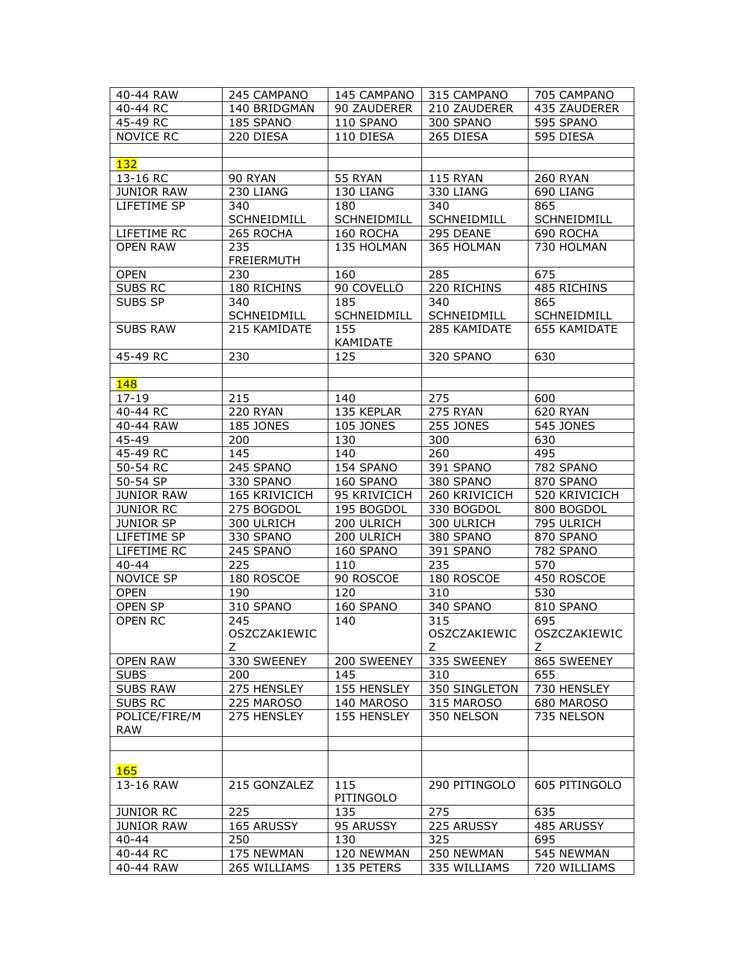| 40-44 RAW          | 245 CAMPANO       | 145 CAMPANO        | 315 CAMPANO      | 705 CAMPANO      |
|--------------------|-------------------|--------------------|------------------|------------------|
| 40-44 RC           | 140 BRIDGMAN      | 90 ZAUDERER        | 210 ZAUDERER     | 435 ZAUDERER     |
| 45-49 RC           | 185 SPANO         | 110 SPANO          | 300 SPANO        | 595 SPANO        |
| <b>NOVICE RC</b>   | 220 DIESA         | 110 DIESA          | 265 DIESA        | 595 DIESA        |
|                    |                   |                    |                  |                  |
| 132                |                   |                    |                  |                  |
| 13-16 RC           | 90 RYAN           | 55 RYAN            | 115 RYAN         | 260 RYAN         |
| <b>JUNIOR RAW</b>  | 230 LIANG         | 130 LIANG          | 330 LIANG        | 690 LIANG        |
| LIFETIME SP        | 340               | 180                | 340              | 865              |
|                    | SCHNEIDMILL       | <b>SCHNEIDMILL</b> | SCHNEIDMILL      | SCHNEIDMILL      |
| LIFETIME RC        | 265 ROCHA         | 160 ROCHA          | 295 DEANE        | 690 ROCHA        |
| <b>OPEN RAW</b>    | 235               | 135 HOLMAN         | 365 HOLMAN       | 730 HOLMAN       |
|                    | <b>FREIERMUTH</b> |                    |                  |                  |
| <b>OPEN</b>        | 230               | 160                | 285              | 675              |
| <b>SUBS RC</b>     | 180 RICHINS       | 90 COVELLO         | 220 RICHINS      | 485 RICHINS      |
| SUBS SP            | 340               | 185                | 340              | 865              |
|                    | SCHNEIDMILL       | SCHNEIDMILL        | SCHNEIDMILL      | SCHNEIDMILL      |
| <b>SUBS RAW</b>    | 215 KAMIDATE      | 155                | 285 KAMIDATE     | 655 KAMIDATE     |
|                    |                   | KAMIDATE           |                  |                  |
| 45-49 RC           | 230               | 125                | 320 SPANO        | 630              |
|                    |                   |                    |                  |                  |
| <b>148</b>         |                   |                    |                  |                  |
| 17-19              | 215               | 140                | 275              | 600              |
| 40-44 RC           | 220 RYAN          | 135 KEPLAR         | 275 RYAN         | 620 RYAN         |
| 40-44 RAW          | <b>185 JONES</b>  | <b>105 JONES</b>   | <b>255 JONES</b> | <b>545 JONES</b> |
| 45-49              | 200               | 130                | 300              | 630              |
| 45-49 RC           | 145               | 140                | 260              | 495              |
| 50-54 RC           | 245 SPANO         | 154 SPANO          | 391 SPANO        | 782 SPANO        |
| 50-54 SP           | 330 SPANO         | 160 SPANO          | 380 SPANO        | 870 SPANO        |
| <b>JUNIOR RAW</b>  | 165 KRIVICICH     | 95 KRIVICICH       | 260 KRIVICICH    | 520 KRIVICICH    |
| <b>JUNIOR RC</b>   | 275 BOGDOL        | 195 BOGDOL         | 330 BOGDOL       | 800 BOGDOL       |
| <b>JUNIOR SP</b>   | 300 ULRICH        | 200 ULRICH         | 300 ULRICH       | 795 ULRICH       |
| LIFETIME SP        | 330 SPANO         | 200 ULRICH         | 380 SPANO        | 870 SPANO        |
| LIFETIME RC        | 245 SPANO<br>225  | 160 SPANO          | 391 SPANO<br>235 | 782 SPANO<br>570 |
| 40-44<br>NOVICE SP | 180 ROSCOE        | 110<br>90 ROSCOE   | 180 ROSCOE       | 450 ROSCOE       |
| <b>OPEN</b>        | 190               | 120                | 310              | 530              |
| OPEN SP            | 310 SPANO         | 160 SPANO          | 340 SPANO        | 810 SPANO        |
| <b>OPEN RC</b>     | 245               | 140                | 315              | 695              |
|                    | OSZCZAKIEWIC      |                    | OSZCZAKIEWIC     | OSZCZAKIEWIC     |
|                    | Z                 |                    | Z.               | Z.               |
| <b>OPEN RAW</b>    | 330 SWEENEY       | 200 SWEENEY        | 335 SWEENEY      | 865 SWEENEY      |
| <b>SUBS</b>        | 200               | 145                | 310              | 655              |
| <b>SUBS RAW</b>    | 275 HENSLEY       | 155 HENSLEY        | 350 SINGLETON    | 730 HENSLEY      |
| SUBS RC            | 225 MAROSO        | 140 MAROSO         | 315 MAROSO       | 680 MAROSO       |
| POLICE/FIRE/M      | 275 HENSLEY       | 155 HENSLEY        | 350 NELSON       | 735 NELSON       |
| <b>RAW</b>         |                   |                    |                  |                  |
|                    |                   |                    |                  |                  |
|                    |                   |                    |                  |                  |
| 165                |                   |                    |                  |                  |
| 13-16 RAW          | 215 GONZALEZ      | 115                | 290 PITINGOLO    | 605 PITINGOLO    |
|                    |                   | PITINGOLO          |                  |                  |
| <b>JUNIOR RC</b>   | 225               | 135                | 275              | 635              |
| <b>JUNIOR RAW</b>  | 165 ARUSSY        | 95 ARUSSY          | 225 ARUSSY       | 485 ARUSSY       |
| 40-44              | 250               | 130                | 325              | 695              |
| 40-44 RC           | 175 NEWMAN        | 120 NEWMAN         | 250 NEWMAN       | 545 NEWMAN       |
| 40-44 RAW          | 265 WILLIAMS      | 135 PETERS         | 335 WILLIAMS     | 720 WILLIAMS     |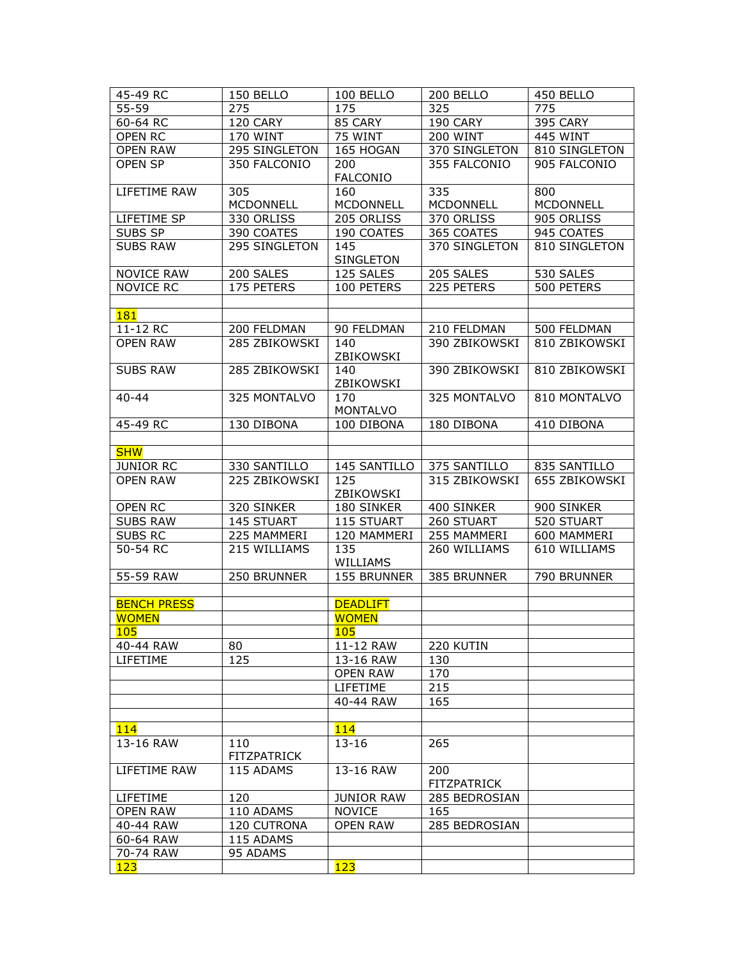| 45-49 RC           | 150 BELLO                 | 100 BELLO               | 200 BELLO                 | 450 BELLO        |
|--------------------|---------------------------|-------------------------|---------------------------|------------------|
| $55 - 59$          | 275                       | 175                     | 325                       | 775              |
| $60-64$ RC         | 120 CARY                  | 85 CARY                 | 190 CARY                  | <b>395 CARY</b>  |
| OPEN RC            | <b>170 WINT</b>           | 75 WINT                 | <b>200 WINT</b>           | 445 WINT         |
| <b>OPEN RAW</b>    | 295 SINGLETON             | 165 HOGAN               | 370 SINGLETON             | 810 SINGLETON    |
| <b>OPEN SP</b>     | 350 FALCONIO              | 200<br><b>FALCONIO</b>  | 355 FALCONIO              | 905 FALCONIO     |
| LIFETIME RAW       | 305                       | 160                     | 335                       | 800              |
|                    | <b>MCDONNELL</b>          | <b>MCDONNELL</b>        | MCDONNELL                 | <b>MCDONNELL</b> |
| LIFETIME SP        | 330 ORLISS                | 205 ORLISS              | 370 ORLISS                | 905 ORLISS       |
| SUBS SP            | 390 COATES                | 190 COATES              | 365 COATES                | 945 COATES       |
| <b>SUBS RAW</b>    | 295 SINGLETON             | 145<br><b>SINGLETON</b> | 370 SINGLETON             | 810 SINGLETON    |
| <b>NOVICE RAW</b>  | 200 SALES                 | 125 SALES               | 205 SALES                 | 530 SALES        |
| <b>NOVICE RC</b>   | 175 PETERS                | 100 PETERS              | 225 PETERS                | 500 PETERS       |
|                    |                           |                         |                           |                  |
| 181                |                           |                         |                           |                  |
| 11-12 RC           | 200 FELDMAN               | 90 FELDMAN              | 210 FELDMAN               | 500 FELDMAN      |
| <b>OPEN RAW</b>    | 285 ZBIKOWSKI             | 140<br>ZBIKOWSKI        | 390 ZBIKOWSKI             | 810 ZBIKOWSKI    |
| <b>SUBS RAW</b>    | 285 ZBIKOWSKI             | 140<br>ZBIKOWSKI        | 390 ZBIKOWSKI             | 810 ZBIKOWSKI    |
| $40 - 44$          | 325 MONTALVO              | 170<br><b>MONTALVO</b>  | 325 MONTALVO              | 810 MONTALVO     |
| 45-49 RC           | 130 DIBONA                | 100 DIBONA              | 180 DIBONA                | 410 DIBONA       |
|                    |                           |                         |                           |                  |
| <b>SHW</b>         |                           |                         |                           |                  |
| <b>JUNIOR RC</b>   | 330 SANTILLO              | 145 SANTILLO            | 375 SANTILLO              | 835 SANTILLO     |
| <b>OPEN RAW</b>    | 225 ZBIKOWSKI             | 125<br>ZBIKOWSKI        | 315 ZBIKOWSKI             | 655 ZBIKOWSKI    |
| OPEN RC            | 320 SINKER                | 180 SINKER              | 400 SINKER                | 900 SINKER       |
| <b>SUBS RAW</b>    | 145 STUART                | 115 STUART              | 260 STUART                | 520 STUART       |
| SUBS RC            | 225 MAMMERI               | 120 MAMMERI             | 255 MAMMERI               | 600 MAMMERI      |
| 50-54 RC           | 215 WILLIAMS              | 135<br>WILLIAMS         | 260 WILLIAMS              | 610 WILLIAMS     |
| 55-59 RAW          | 250 BRUNNER               | 155 BRUNNER             | 385 BRUNNER               | 790 BRUNNER      |
|                    |                           |                         |                           |                  |
| <b>BENCH PRESS</b> |                           | <b>DEADLIFT</b>         |                           |                  |
| <b>WOMEN</b>       |                           | <b>WOMEN</b>            |                           |                  |
| 105                |                           | 105                     |                           |                  |
| 40-44 RAW          | 80                        | 11-12 RAW               | 220 KUTIN                 |                  |
| LIFETIME           | 125                       | 13-16 RAW               | 130                       |                  |
|                    |                           | <b>OPEN RAW</b>         | 170                       |                  |
|                    |                           | LIFETIME                | 215                       |                  |
|                    |                           | 40-44 RAW               | 165                       |                  |
|                    |                           |                         |                           |                  |
| 114                |                           | 114                     |                           |                  |
| 13-16 RAW          | 110<br><b>FITZPATRICK</b> | $13 - 16$               | 265                       |                  |
| LIFETIME RAW       | 115 ADAMS                 | 13-16 RAW               | 200<br><b>FITZPATRICK</b> |                  |
| LIFETIME           | 120                       | <b>JUNIOR RAW</b>       | 285 BEDROSIAN             |                  |
| <b>OPEN RAW</b>    | 110 ADAMS                 | <b>NOVICE</b>           | 165                       |                  |
| 40-44 RAW          | 120 CUTRONA               | <b>OPEN RAW</b>         | 285 BEDROSIAN             |                  |
| 60-64 RAW          | 115 ADAMS                 |                         |                           |                  |
| 70-74 RAW          | 95 ADAMS                  |                         |                           |                  |
| 123                |                           | 123                     |                           |                  |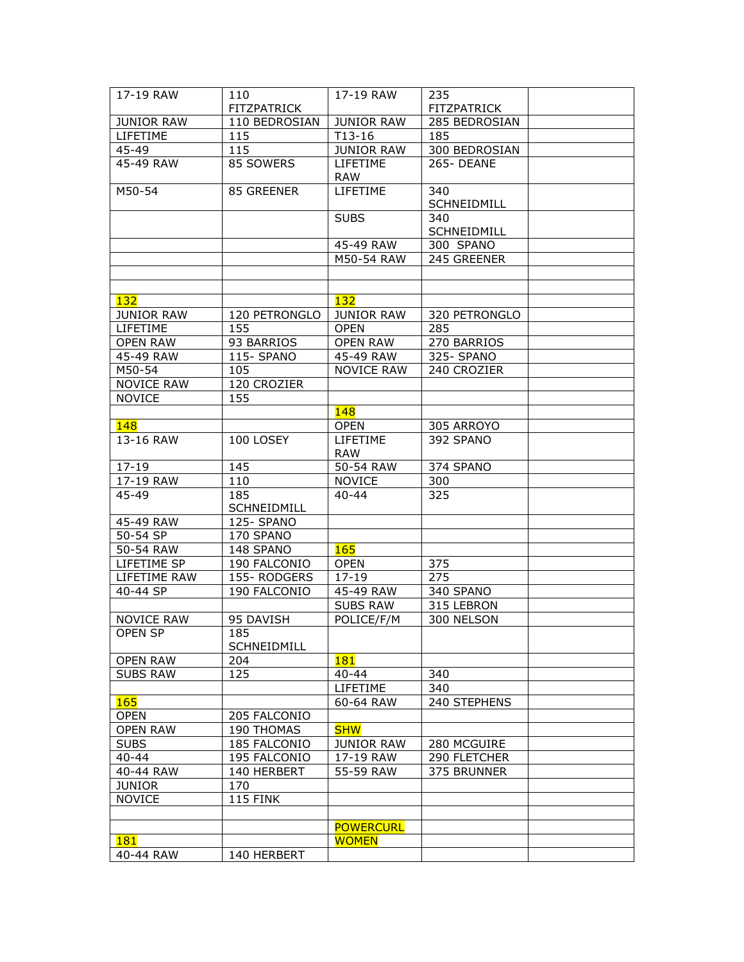| 17-19 RAW         | 110                       | 17-19 RAW              | 235                |  |
|-------------------|---------------------------|------------------------|--------------------|--|
|                   | <b>FITZPATRICK</b>        |                        | <b>FITZPATRICK</b> |  |
| <b>JUNIOR RAW</b> | 110 BEDROSIAN             | <b>JUNIOR RAW</b>      | 285 BEDROSIAN      |  |
| LIFETIME          | 115                       | $T13-16$               | 185                |  |
| 45-49             | 115                       | <b>JUNIOR RAW</b>      | 300 BEDROSIAN      |  |
| 45-49 RAW         | 85 SOWERS                 | LIFETIME<br>RAW        | 265-DEANE          |  |
| M50-54            | 85 GREENER                | LIFETIME               | 340<br>SCHNEIDMILL |  |
|                   |                           | <b>SUBS</b>            | 340                |  |
|                   |                           |                        | SCHNEIDMILL        |  |
|                   |                           | 45-49 RAW              | 300 SPANO          |  |
|                   |                           | M50-54 RAW             | 245 GREENER        |  |
|                   |                           |                        |                    |  |
|                   |                           |                        |                    |  |
| 132               |                           | <b>132</b>             |                    |  |
| <b>JUNIOR RAW</b> | 120 PETRONGLO             | <b>JUNIOR RAW</b>      | 320 PETRONGLO      |  |
| <b>LIFETIME</b>   | 155                       | <b>OPEN</b>            | 285                |  |
| <b>OPEN RAW</b>   | 93 BARRIOS                | <b>OPEN RAW</b>        | 270 BARRIOS        |  |
| 45-49 RAW         | 115- SPANO                | 45-49 RAW              | 325-SPANO          |  |
| M50-54            | 105                       | <b>NOVICE RAW</b>      | 240 CROZIER        |  |
| <b>NOVICE RAW</b> | 120 CROZIER               |                        |                    |  |
| <b>NOVICE</b>     | 155                       |                        |                    |  |
|                   |                           | 148                    |                    |  |
| 148               |                           | <b>OPEN</b>            | 305 ARROYO         |  |
| 13-16 RAW         | 100 LOSEY                 | LIFETIME<br><b>RAW</b> | 392 SPANO          |  |
| $17 - 19$         | 145                       | 50-54 RAW              | 374 SPANO          |  |
| 17-19 RAW         | 110                       | <b>NOVICE</b>          | 300                |  |
| 45-49             | 185                       | $40 - 44$              | 325                |  |
|                   | SCHNEIDMILL               |                        |                    |  |
| 45-49 RAW         | 125-SPANO                 |                        |                    |  |
| 50-54 SP          | 170 SPANO                 |                        |                    |  |
| 50-54 RAW         | 148 SPANO                 | <b>165</b>             |                    |  |
| LIFETIME SP       | 190 FALCONIO              | <b>OPEN</b>            | 375                |  |
| LIFETIME RAW      | 155-RODGERS               | $17 - 19$              | 275                |  |
| 40-44 SP          | 190 FALCONIO              | 45-49 RAW              | 340 SPANO          |  |
|                   |                           | <b>SUBS RAW</b>        | 315 LEBRON         |  |
| <b>NOVICE RAW</b> | 95 DAVISH                 | POLICE/F/M             | 300 NELSON         |  |
| OPEN SP           | 185<br><b>SCHNEIDMILL</b> |                        |                    |  |
| <b>OPEN RAW</b>   | 204                       | <b>181</b>             |                    |  |
| <b>SUBS RAW</b>   | 125                       | $40 - 44$              | 340                |  |
|                   |                           | LIFETIME               | 340                |  |
| <b>165</b>        |                           | 60-64 RAW              | 240 STEPHENS       |  |
| <b>OPEN</b>       | 205 FALCONIO              |                        |                    |  |
| <b>OPEN RAW</b>   | 190 THOMAS                | <b>SHW</b>             |                    |  |
| <b>SUBS</b>       | 185 FALCONIO              | <b>JUNIOR RAW</b>      | 280 MCGUIRE        |  |
| $40 - 44$         | 195 FALCONIO              | 17-19 RAW              | 290 FLETCHER       |  |
| 40-44 RAW         | 140 HERBERT               | 55-59 RAW              | 375 BRUNNER        |  |
| <b>JUNIOR</b>     | 170                       |                        |                    |  |
| <b>NOVICE</b>     | <b>115 FINK</b>           |                        |                    |  |
|                   |                           |                        |                    |  |
|                   |                           | <b>POWERCURL</b>       |                    |  |
| <b>181</b>        |                           | <b>WOMEN</b>           |                    |  |
| 40-44 RAW         | 140 HERBERT               |                        |                    |  |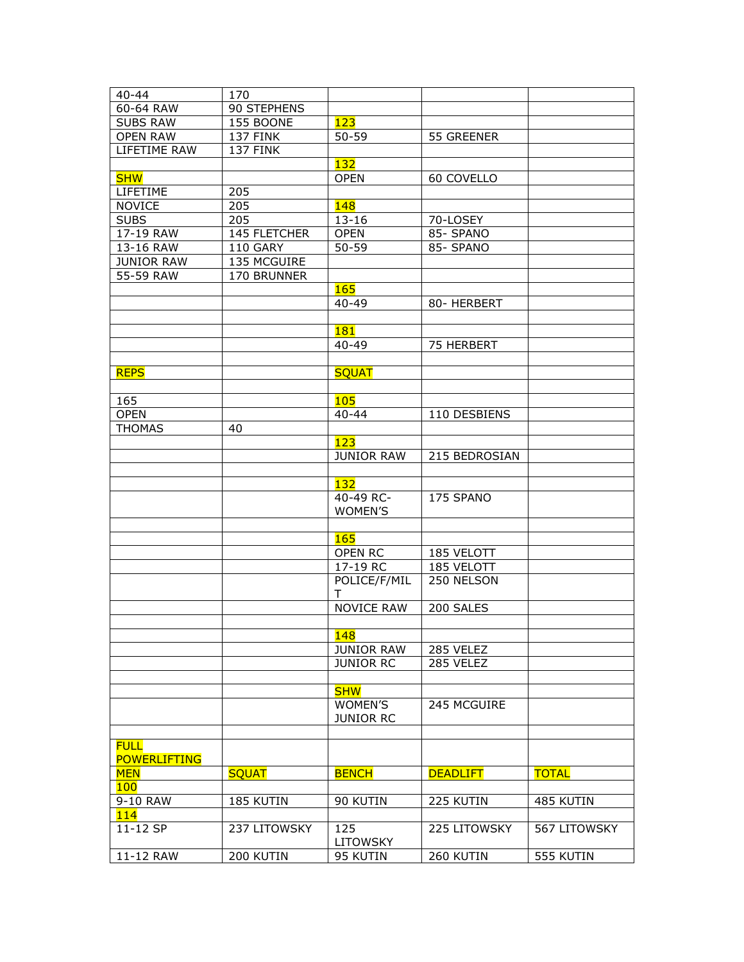| $40 - 44$                          | 170             |                        |                 |              |
|------------------------------------|-----------------|------------------------|-----------------|--------------|
| 60-64 RAW                          | 90 STEPHENS     |                        |                 |              |
| <b>SUBS RAW</b>                    | 155 BOONE       | 123                    |                 |              |
| <b>OPEN RAW</b>                    | 137 FINK        | $50 - 59$              | 55 GREENER      |              |
| LIFETIME RAW                       | <b>137 FINK</b> |                        |                 |              |
|                                    |                 | 132                    |                 |              |
| <b>SHW</b>                         |                 | <b>OPEN</b>            | 60 COVELLO      |              |
| LIFETIME                           | 205             |                        |                 |              |
| <b>NOVICE</b>                      | 205             | <b>148</b>             |                 |              |
| <b>SUBS</b>                        | 205             | $13 - 16$              | 70-LOSEY        |              |
| 17-19 RAW                          | 145 FLETCHER    | <b>OPEN</b>            | 85- SPANO       |              |
| 13-16 RAW                          | 110 GARY        | $50 - 59$              | 85- SPANO       |              |
| <b>JUNIOR RAW</b>                  | 135 MCGUIRE     |                        |                 |              |
| 55-59 RAW                          | 170 BRUNNER     |                        |                 |              |
|                                    |                 | <b>165</b>             |                 |              |
|                                    |                 | $40 - 49$              | 80- HERBERT     |              |
|                                    |                 |                        |                 |              |
|                                    |                 | <b>181</b>             |                 |              |
|                                    |                 | $40 - 49$              | 75 HERBERT      |              |
|                                    |                 |                        |                 |              |
| <b>REPS</b>                        |                 | <b>SQUAT</b>           |                 |              |
|                                    |                 |                        |                 |              |
| 165                                |                 | <b>105</b>             |                 |              |
| <b>OPEN</b>                        |                 | $40 - 44$              | 110 DESBIENS    |              |
| <b>THOMAS</b>                      | 40              |                        |                 |              |
|                                    |                 | 123                    |                 |              |
|                                    |                 | <b>JUNIOR RAW</b>      | 215 BEDROSIAN   |              |
|                                    |                 |                        |                 |              |
|                                    |                 | 132                    |                 |              |
|                                    |                 | 40-49 RC-              | 175 SPANO       |              |
|                                    |                 | WOMEN'S                |                 |              |
|                                    |                 |                        |                 |              |
|                                    |                 | <b>165</b>             |                 |              |
|                                    |                 | OPEN RC                | 185 VELOTT      |              |
|                                    |                 | 17-19 RC               | 185 VELOTT      |              |
|                                    |                 | POLICE/F/MIL           | 250 NELSON      |              |
|                                    |                 | T.                     |                 |              |
|                                    |                 | <b>NOVICE RAW</b>      | 200 SALES       |              |
|                                    |                 |                        |                 |              |
|                                    |                 | 148                    |                 |              |
|                                    |                 | <b>JUNIOR RAW</b>      | 285 VELEZ       |              |
|                                    |                 | <b>JUNIOR RC</b>       | 285 VELEZ       |              |
|                                    |                 |                        |                 |              |
|                                    |                 | <b>SHW</b>             |                 |              |
|                                    |                 | WOMEN'S                | 245 MCGUIRE     |              |
|                                    |                 | <b>JUNIOR RC</b>       |                 |              |
|                                    |                 |                        |                 |              |
| <b>FULL</b><br><b>POWERLIFTING</b> |                 |                        |                 |              |
| <b>MEN</b>                         | <b>SQUAT</b>    | <b>BENCH</b>           | <b>DEADLIFT</b> | <b>TOTAL</b> |
| <b>100</b>                         |                 |                        |                 |              |
| 9-10 RAW                           | 185 KUTIN       | 90 KUTIN               | 225 KUTIN       | 485 KUTIN    |
| 114                                |                 |                        |                 |              |
| 11-12 SP                           | 237 LITOWSKY    | 125<br><b>LITOWSKY</b> | 225 LITOWSKY    | 567 LITOWSKY |
| 11-12 RAW                          | 200 KUTIN       | 95 KUTIN               | 260 KUTIN       | 555 KUTIN    |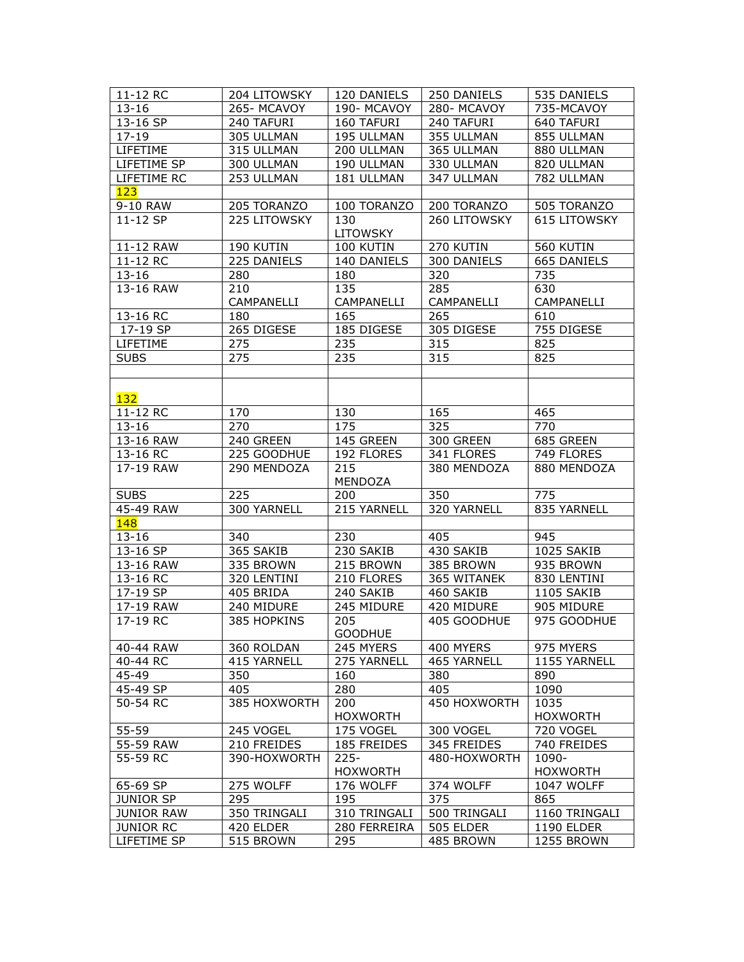| 11-12 RC          | 204 LITOWSKY | 120 DANIELS     | 250 DANIELS  | 535 DANIELS         |
|-------------------|--------------|-----------------|--------------|---------------------|
| $13 - 16$         | 265-MCAVOY   | 190-MCAVOY      | 280-MCAVOY   | 735-MCAVOY          |
| 13-16 SP          | 240 TAFURI   | 160 TAFURI      | 240 TAFURI   | 640 TAFURI          |
| $17 - 19$         | 305 ULLMAN   | 195 ULLMAN      | 355 ULLMAN   | 855 ULLMAN          |
| LIFETIME          | 315 ULLMAN   | 200 ULLMAN      | 365 ULLMAN   | 880 ULLMAN          |
| LIFETIME SP       | 300 ULLMAN   | 190 ULLMAN      | 330 ULLMAN   | 820 ULLMAN          |
| LIFETIME RC       | 253 ULLMAN   | 181 ULLMAN      | 347 ULLMAN   | 782 ULLMAN          |
| 123               |              |                 |              |                     |
| 9-10 RAW          | 205 TORANZO  | 100 TORANZO     | 200 TORANZO  | 505 TORANZO         |
| 11-12 SP          | 225 LITOWSKY | 130             | 260 LITOWSKY | <b>615 LITOWSKY</b> |
|                   |              | <b>LITOWSKY</b> |              |                     |
| 11-12 RAW         | 190 KUTIN    | 100 KUTIN       | 270 KUTIN    | 560 KUTIN           |
| 11-12 RC          | 225 DANIELS  | 140 DANIELS     | 300 DANIELS  | 665 DANIELS         |
| $13 - 16$         | 280          | 180             | 320          | 735                 |
| 13-16 RAW         | 210          | 135             | 285          | 630                 |
|                   | CAMPANELLI   | CAMPANELLI      | CAMPANELLI   | CAMPANELLI          |
| 13-16 RC          | 180          | 165             | 265          | 610                 |
| 17-19 SP          | 265 DIGESE   | 185 DIGESE      | 305 DIGESE   | 755 DIGESE          |
| <b>LIFETIME</b>   | 275          | 235             | 315          | 825                 |
| <b>SUBS</b>       | 275          | 235             | 315          | 825                 |
|                   |              |                 |              |                     |
|                   |              |                 |              |                     |
| 132               |              |                 |              |                     |
| 11-12 RC          | 170          | 130             | 165          | 465                 |
| $13 - 16$         | 270          | 175             | 325          | $\overline{770}$    |
| 13-16 RAW         | 240 GREEN    | 145 GREEN       | 300 GREEN    | 685 GREEN           |
| 13-16 RC          | 225 GOODHUE  | 192 FLORES      | 341 FLORES   | 749 FLORES          |
| 17-19 RAW         | 290 MENDOZA  | 215             | 380 MENDOZA  | 880 MENDOZA         |
|                   |              | MENDOZA         |              |                     |
| <b>SUBS</b>       | 225          | 200             | 350          | 775                 |
| 45-49 RAW         | 300 YARNELL  | 215 YARNELL     | 320 YARNELL  | 835 YARNELL         |
| 148               |              |                 |              |                     |
| $13 - 16$         | 340          | 230             | 405          | 945                 |
| 13-16 SP          | 365 SAKIB    | 230 SAKIB       | 430 SAKIB    | 1025 SAKIB          |
| 13-16 RAW         | 335 BROWN    | 215 BROWN       | 385 BROWN    | 935 BROWN           |
| 13-16 RC          | 320 LENTINI  | 210 FLORES      | 365 WITANEK  | 830 LENTINI         |
| 17-19 SP          | 405 BRIDA    | 240 SAKIB       | 460 SAKIB    | 1105 SAKIB          |
| 17-19 RAW         | 240 MIDURE   | 245 MIDURE      | 420 MIDURE   | 905 MIDURE          |
| 17-19 RC          | 385 HOPKINS  | 205             | 405 GOODHUE  | 975 GOODHUE         |
|                   |              | GOODHUE         |              |                     |
| 40-44 RAW         | 360 ROLDAN   | 245 MYERS       | 400 MYERS    | 975 MYERS           |
| 40-44 RC          | 415 YARNELL  | 275 YARNELL     | 465 YARNELL  | 1155 YARNELL        |
| 45-49             | 350          | 160             | 380          | 890                 |
| 45-49 SP          | 405          | 280             | 405          | 1090                |
| 50-54 RC          | 385 HOXWORTH | 200             | 450 HOXWORTH | 1035                |
|                   |              | <b>HOXWORTH</b> |              | <b>HOXWORTH</b>     |
| $55 - 59$         | 245 VOGEL    | 175 VOGEL       | 300 VOGEL    | 720 VOGEL           |
| 55-59 RAW         | 210 FREIDES  | 185 FREIDES     | 345 FREIDES  | 740 FREIDES         |
| 55-59 RC          | 390-HOXWORTH | $225 -$         | 480-HOXWORTH | 1090-               |
|                   |              | <b>HOXWORTH</b> |              | <b>HOXWORTH</b>     |
| 65-69 SP          | 275 WOLFF    | 176 WOLFF       | 374 WOLFF    | 1047 WOLFF          |
| <b>JUNIOR SP</b>  | 295          | 195             | 375          | 865                 |
| <b>JUNIOR RAW</b> | 350 TRINGALI | 310 TRINGALI    | 500 TRINGALI | 1160 TRINGALI       |
| <b>JUNIOR RC</b>  | 420 ELDER    | 280 FERREIRA    | 505 ELDER    | 1190 ELDER          |
| LIFETIME SP       | 515 BROWN    | 295             | 485 BROWN    | 1255 BROWN          |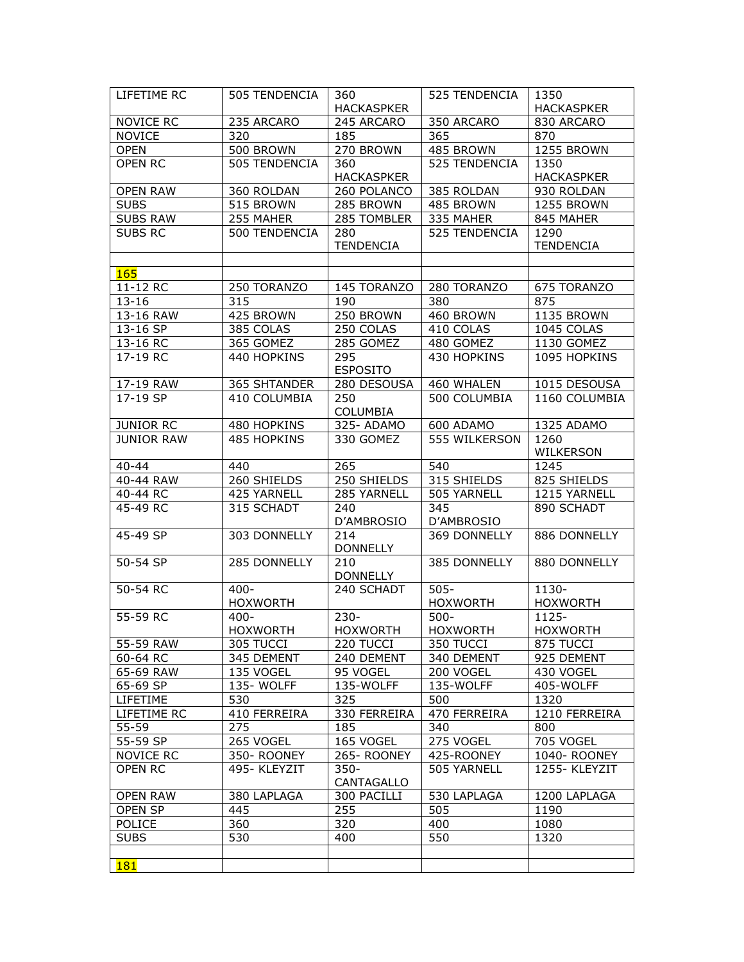| LIFETIME RC       | 505 TENDENCIA   | 360                    | 525 TENDENCIA   | 1350              |
|-------------------|-----------------|------------------------|-----------------|-------------------|
|                   |                 | <b>HACKASPKER</b>      |                 | <b>HACKASPKER</b> |
| NOVICE RC         | 235 ARCARO      | 245 ARCARO             | 350 ARCARO      | 830 ARCARO        |
| <b>NOVICE</b>     | 320             | 185                    | 365             | 870               |
| <b>OPEN</b>       | 500 BROWN       | 270 BROWN              | 485 BROWN       | 1255 BROWN        |
| <b>OPEN RC</b>    | 505 TENDENCIA   | 360                    | 525 TENDENCIA   | 1350              |
|                   |                 | <b>HACKASPKER</b>      |                 | <b>HACKASPKER</b> |
| <b>OPEN RAW</b>   | 360 ROLDAN      | 260 POLANCO            | 385 ROLDAN      | 930 ROLDAN        |
| <b>SUBS</b>       | 515 BROWN       | 285 BROWN              | 485 BROWN       | 1255 BROWN        |
| <b>SUBS RAW</b>   | 255 MAHER       | 285 TOMBLER            | 335 MAHER       | 845 MAHER         |
| <b>SUBS RC</b>    | 500 TENDENCIA   | 280                    | 525 TENDENCIA   | 1290              |
|                   |                 | <b>TENDENCIA</b>       |                 | <b>TENDENCIA</b>  |
|                   |                 |                        |                 |                   |
| 165               |                 |                        |                 |                   |
| 11-12 RC          | 250 TORANZO     | 145 TORANZO            | 280 TORANZO     | 675 TORANZO       |
| $13 - 16$         | 315             | 190                    | 380             | 875               |
| 13-16 RAW         | 425 BROWN       | 250 BROWN              | 460 BROWN       | 1135 BROWN        |
| 13-16 SP          | 385 COLAS       | 250 COLAS              | 410 COLAS       | 1045 COLAS        |
| 13-16 RC          | 365 GOMEZ       | 285 GOMEZ              | 480 GOMEZ       | 1130 GOMEZ        |
| 17-19 RC          | 440 HOPKINS     | 295                    | 430 HOPKINS     | 1095 HOPKINS      |
|                   |                 | <b>ESPOSITO</b>        |                 |                   |
| 17-19 RAW         | 365 SHTANDER    | 280 DESOUSA            | 460 WHALEN      | 1015 DESOUSA      |
| 17-19 SP          | 410 COLUMBIA    | 250                    | 500 COLUMBIA    | 1160 COLUMBIA     |
|                   |                 | COLUMBIA               |                 |                   |
| <b>JUNIOR RC</b>  | 480 HOPKINS     | 325-ADAMO              | 600 ADAMO       | 1325 ADAMO        |
| <b>JUNIOR RAW</b> | 485 HOPKINS     | 330 GOMEZ              | 555 WILKERSON   | 1260              |
|                   |                 |                        |                 | WILKERSON         |
| $40 - 44$         | 440             | 265                    | 540             | 1245              |
| 40-44 RAW         | 260 SHIELDS     | 250 SHIELDS            | 315 SHIELDS     | 825 SHIELDS       |
| 40-44 RC          | 425 YARNELL     | 285 YARNELL            | 505 YARNELL     | 1215 YARNELL      |
| 45-49 RC          | 315 SCHADT      | 240                    | 345             | 890 SCHADT        |
|                   |                 | D'AMBROSIO             | D'AMBROSIO      |                   |
| 45-49 SP          | 303 DONNELLY    | 214                    | 369 DONNELLY    | 886 DONNELLY      |
| 50-54 SP          |                 | <b>DONNELLY</b>        | 385 DONNELLY    | 880 DONNELLY      |
|                   | 285 DONNELLY    | 210<br><b>DONNELLY</b> |                 |                   |
| 50-54 RC          | $400 -$         | 240 SCHADT             | $505 -$         | 1130-             |
|                   | <b>HOXWORTH</b> |                        | <b>HOXWORTH</b> | <b>HOXWORTH</b>   |
| 55-59 RC          | $400 -$         | $230 -$                | $500 -$         | 1125-             |
|                   | <b>HOXWORTH</b> | <b>HOXWORTH</b>        | <b>HOXWORTH</b> | <b>HOXWORTH</b>   |
| 55-59 RAW         | 305 TUCCI       | 220 TUCCI              | 350 TUCCI       | 875 TUCCI         |
| 60-64 RC          | 345 DEMENT      | 240 DEMENT             | 340 DEMENT      | 925 DEMENT        |
| 65-69 RAW         | 135 VOGEL       | 95 VOGEL               | 200 VOGEL       | 430 VOGEL         |
| 65-69 SP          | 135-WOLFF       | 135-WOLFF              | 135-WOLFF       | 405-WOLFF         |
| LIFETIME          | 530             | 325                    | 500             | 1320              |
| LIFETIME RC       | 410 FERREIRA    | 330 FERREIRA           | 470 FERREIRA    | 1210 FERREIRA     |
| 55-59             | 275             | 185                    | 340             | 800               |
| 55-59 SP          | 265 VOGEL       | 165 VOGEL              | 275 VOGEL       | 705 VOGEL         |
| <b>NOVICE RC</b>  | 350- ROONEY     | 265- ROONEY            | 425-ROONEY      | 1040-ROONEY       |
| <b>OPEN RC</b>    | 495-KLEYZIT     | $350 -$                | 505 YARNELL     | 1255-KLEYZIT      |
|                   |                 | CANTAGALLO             |                 |                   |
| <b>OPEN RAW</b>   | 380 LAPLAGA     | 300 PACILLI            | 530 LAPLAGA     | 1200 LAPLAGA      |
| OPEN SP           | 445             | 255                    | 505             | 1190              |
| <b>POLICE</b>     | 360             | 320                    | 400             | 1080              |
| <b>SUBS</b>       | 530             | 400                    | 550             | 1320              |
|                   |                 |                        |                 |                   |
| <b>181</b>        |                 |                        |                 |                   |
|                   |                 |                        |                 |                   |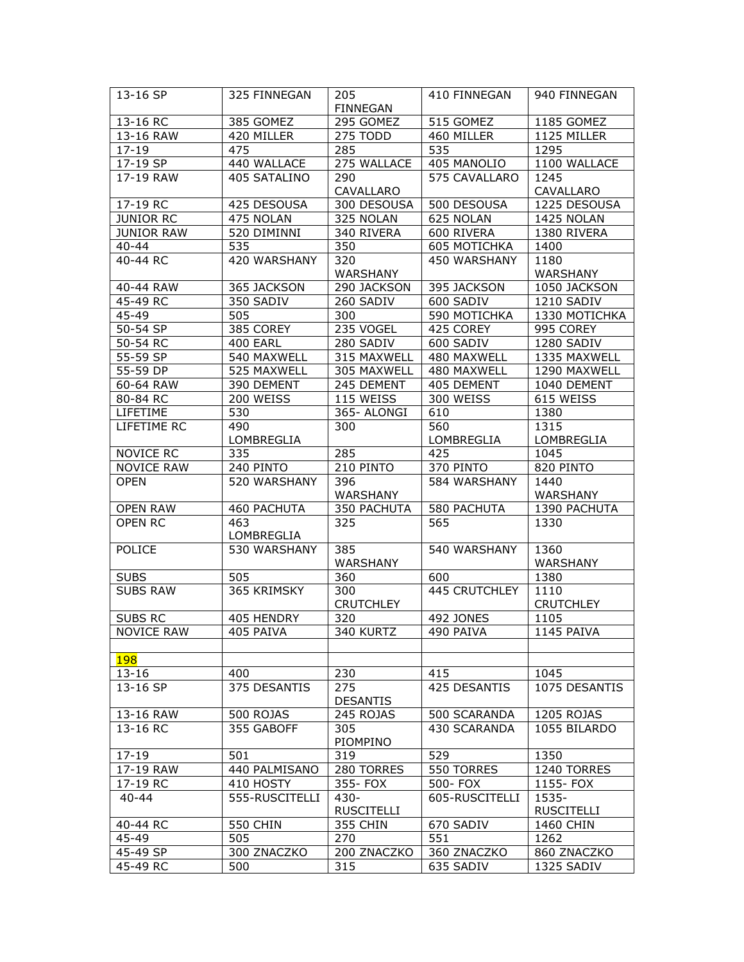| 13-16 SP          | 325 FINNEGAN    | 205               | 410 FINNEGAN     | 940 FINNEGAN      |
|-------------------|-----------------|-------------------|------------------|-------------------|
|                   |                 | <b>FINNEGAN</b>   |                  |                   |
| 13-16 RC          | 385 GOMEZ       | 295 GOMEZ         | 515 GOMEZ        | 1185 GOMEZ        |
| 13-16 RAW         | 420 MILLER      | 275 TODD          | 460 MILLER       | 1125 MILLER       |
| $17 - 19$         | 475             | 285               | 535              | 1295              |
| $17 - 19$ SP      | 440 WALLACE     | 275 WALLACE       | 405 MANOLIO      | 1100 WALLACE      |
| 17-19 RAW         | 405 SATALINO    | 290               | 575 CAVALLARO    | 1245              |
|                   |                 | CAVALLARO         |                  | CAVALLARO         |
| 17-19 RC          | 425 DESOUSA     | 300 DESOUSA       | 500 DESOUSA      | 1225 DESOUSA      |
| <b>JUNIOR RC</b>  | 475 NOLAN       | 325 NOLAN         | 625 NOLAN        | 1425 NOLAN        |
| <b>JUNIOR RAW</b> | 520 DIMINNI     | 340 RIVERA        | 600 RIVERA       | 1380 RIVERA       |
| 40-44             | 535             | 350               | 605 MOTICHKA     | 1400              |
| 40-44 RC          | 420 WARSHANY    | 320               | 450 WARSHANY     | 1180              |
|                   |                 | WARSHANY          |                  | WARSHANY          |
| 40-44 RAW         | 365 JACKSON     | 290 JACKSON       | 395 JACKSON      | 1050 JACKSON      |
| 45-49 RC          | 350 SADIV       | 260 SADIV         | 600 SADIV        | 1210 SADIV        |
| 45-49             | 505             | 300               | 590 MOTICHKA     | 1330 MOTICHKA     |
| 50-54 SP          | 385 COREY       | 235 VOGEL         | 425 COREY        | 995 COREY         |
| 50-54 RC          | <b>400 EARL</b> | 280 SADIV         | 600 SADIV        | 1280 SADIV        |
| 55-59 SP          | 540 MAXWELL     | 315 MAXWELL       | 480 MAXWELL      | 1335 MAXWELL      |
| 55-59 DP          | 525 MAXWELL     | 305 MAXWELL       | 480 MAXWELL      | 1290 MAXWELL      |
| 60-64 RAW         | 390 DEMENT      | 245 DEMENT        | 405 DEMENT       | 1040 DEMENT       |
| 80-84 RC          | 200 WEISS       | 115 WEISS         | 300 WEISS        | 615 WEISS         |
| LIFETIME          | 530             | 365- ALONGI       | 610              | 1380              |
| LIFETIME RC       | 490             | 300               | 560              | 1315              |
|                   | LOMBREGLIA      |                   | LOMBREGLIA       | LOMBREGLIA        |
| NOVICE RC         | 335             | 285               | 425              | 1045              |
| <b>NOVICE RAW</b> | 240 PINTO       | 210 PINTO         | 370 PINTO        | 820 PINTO         |
| <b>OPEN</b>       | 520 WARSHANY    | 396               | 584 WARSHANY     | 1440              |
|                   |                 | WARSHANY          |                  | WARSHANY          |
| <b>OPEN RAW</b>   | 460 PACHUTA     | 350 PACHUTA       | 580 PACHUTA      | 1390 PACHUTA      |
| OPEN RC           | 463             | 325               | $\overline{565}$ | 1330              |
|                   | LOMBREGLIA      |                   |                  |                   |
| POLICE            | 530 WARSHANY    | 385               | 540 WARSHANY     | 1360              |
|                   |                 | WARSHANY          |                  | WARSHANY          |
| <b>SUBS</b>       | 505             | 360               | 600              | 1380              |
| <b>SUBS RAW</b>   | 365 KRIMSKY     | 300               | 445 CRUTCHLEY    | 1110              |
|                   |                 | <b>CRUTCHLEY</b>  |                  | <b>CRUTCHLEY</b>  |
| <b>SUBS RC</b>    | 405 HENDRY      | 320               | 492 JONES        | 1105              |
| NOVICE RAW        | 405 PAIVA       | 340 KURTZ         | 490 PAIVA        | 1145 PAIVA        |
|                   |                 |                   |                  |                   |
| <b>198</b>        |                 |                   |                  |                   |
| $13 - 16$         | 400             | 230               | 415              | 1045              |
| 13-16 SP          | 375 DESANTIS    | 275               | 425 DESANTIS     | 1075 DESANTIS     |
|                   |                 | <b>DESANTIS</b>   |                  |                   |
| 13-16 RAW         | 500 ROJAS       | 245 ROJAS         | 500 SCARANDA     | 1205 ROJAS        |
| 13-16 RC          | 355 GABOFF      | 305               | 430 SCARANDA     | 1055 BILARDO      |
|                   |                 | PIOMPINO          |                  |                   |
| $17 - 19$         | 501             | 319               | 529              | 1350              |
| 17-19 RAW         | 440 PALMISANO   | 280 TORRES        | 550 TORRES       | 1240 TORRES       |
| 17-19 RC          | 410 HOSTY       | 355- FOX          | 500- FOX         | 1155- FOX         |
| $40 - 44$         | 555-RUSCITELLI  | $430 -$           | 605-RUSCITELLI   | 1535-             |
|                   |                 | <b>RUSCITELLI</b> |                  | <b>RUSCITELLI</b> |
| 40-44 RC          | 550 CHIN        | 355 CHIN          | 670 SADIV        | 1460 CHIN         |
| 45-49             | 505             | 270               | 551              | 1262              |
| 45-49 SP          | 300 ZNACZKO     | 200 ZNACZKO       | 360 ZNACZKO      | 860 ZNACZKO       |
| 45-49 RC          | 500             | 315               | 635 SADIV        | 1325 SADIV        |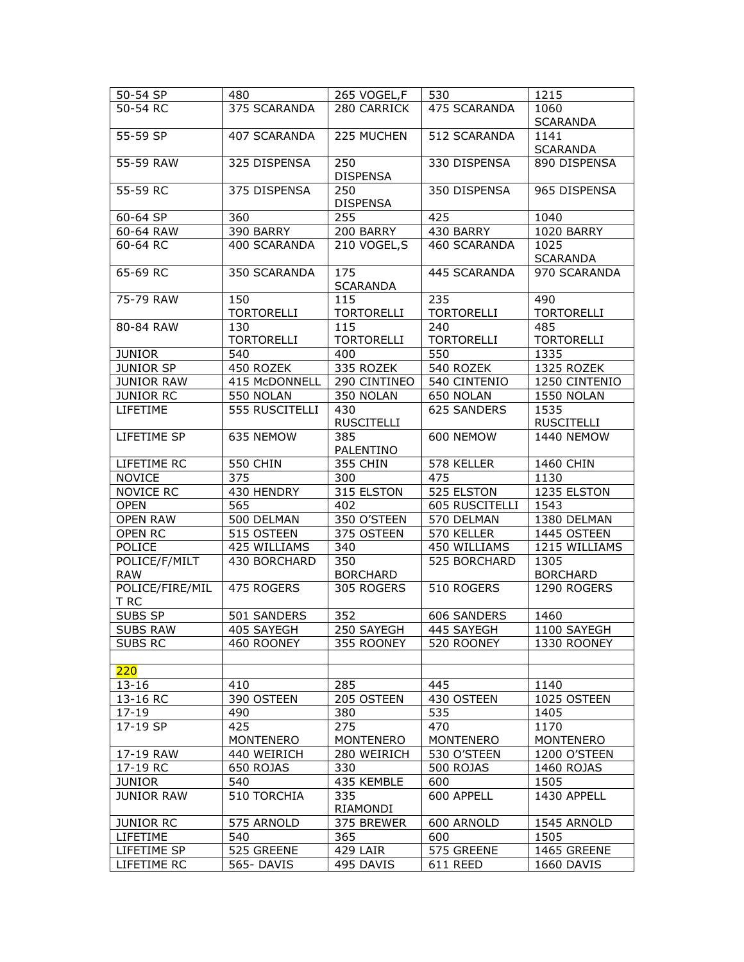| 50-54 SP                    | 480                      | 265 VOGEL,F              | 530                      | 1215                     |
|-----------------------------|--------------------------|--------------------------|--------------------------|--------------------------|
| 50-54 RC                    | 375 SCARANDA             | 280 CARRICK              | 475 SCARANDA             | 1060<br><b>SCARANDA</b>  |
| 55-59 SP                    | 407 SCARANDA             | 225 MUCHEN               | 512 SCARANDA             | 1141<br><b>SCARANDA</b>  |
| 55-59 RAW                   | 325 DISPENSA             | 250<br><b>DISPENSA</b>   | 330 DISPENSA             | 890 DISPENSA             |
| 55-59 RC                    | 375 DISPENSA             | 250<br><b>DISPENSA</b>   | 350 DISPENSA             | 965 DISPENSA             |
| 60-64 SP                    | 360                      | 255                      | 425                      | 1040                     |
| 60-64 RAW                   | 390 BARRY                | 200 BARRY                | 430 BARRY                | <b>1020 BARRY</b>        |
| 60-64 RC                    | 400 SCARANDA             | 210 VOGEL,S              | 460 SCARANDA             | 1025<br><b>SCARANDA</b>  |
| 65-69 RC                    | 350 SCARANDA             | 175<br><b>SCARANDA</b>   | 445 SCARANDA             | 970 SCARANDA             |
| 75-79 RAW                   | 150<br><b>TORTORELLI</b> | 115<br><b>TORTORELLI</b> | 235<br><b>TORTORELLI</b> | 490<br><b>TORTORELLI</b> |
| 80-84 RAW                   | 130<br><b>TORTORELLI</b> | 115<br><b>TORTORELLI</b> | 240<br><b>TORTORELLI</b> | 485<br><b>TORTORELLI</b> |
| <b>JUNIOR</b>               | 540                      | 400                      | 550                      | 1335                     |
| <b>JUNIOR SP</b>            | 450 ROZEK                | 335 ROZEK                | 540 ROZEK                | 1325 ROZEK               |
| <b>JUNIOR RAW</b>           | 415 McDONNELL            | 290 CINTINEO             | 540 CINTENIO             | 1250 CINTENIO            |
| <b>JUNIOR RC</b>            | 550 NOLAN                | 350 NOLAN                | 650 NOLAN                | 1550 NOLAN               |
| <b>LIFETIME</b>             | 555 RUSCITELLI           | 430                      | 625 SANDERS              | 1535                     |
|                             |                          | <b>RUSCITELLI</b>        |                          | <b>RUSCITELLI</b>        |
| LIFETIME SP                 | 635 NEMOW                | 385<br>PALENTINO         | 600 NEMOW                | <b>1440 NEMOW</b>        |
| LIFETIME RC                 | <b>550 CHIN</b>          | 355 CHIN                 | 578 KELLER               | 1460 CHIN                |
| <b>NOVICE</b>               | 375                      | 300                      | 475                      | 1130                     |
| <b>NOVICE RC</b>            | 430 HENDRY               | 315 ELSTON               | 525 ELSTON               | 1235 ELSTON              |
| <b>OPEN</b>                 | 565                      | 402                      | 605 RUSCITELLI           | 1543                     |
| <b>OPEN RAW</b>             | 500 DELMAN               | 350 O'STEEN              | 570 DELMAN               | 1380 DELMAN              |
| OPEN RC                     | 515 OSTEEN               | 375 OSTEEN               | 570 KELLER               | 1445 OSTEEN              |
| POLICE                      | 425 WILLIAMS             | 340                      | 450 WILLIAMS             | 1215 WILLIAMS            |
| POLICE/F/MILT<br><b>RAW</b> | 430 BORCHARD             | 350<br><b>BORCHARD</b>   | 525 BORCHARD             | 1305<br><b>BORCHARD</b>  |
| POLICE/FIRE/MIL<br>T RC     | 475 ROGERS               | 305 ROGERS               | 510 ROGERS               | 1290 ROGERS              |
| <b>SUBS SP</b>              | 501 SANDERS              | 352                      | 606 SANDERS              | 1460                     |
| <b>SUBS RAW</b>             | 405 SAYFGH               | 250 SAYEGH               | 445 SAYFGH               | 1100 SAYEGH              |
| <b>SUBS RC</b>              | 460 ROONEY               | 355 ROONEY               | 520 ROONEY               | 1330 ROONEY              |
|                             |                          |                          |                          |                          |
| 220                         |                          |                          |                          |                          |
| $13 - 16$                   | 410                      | 285                      | 445                      | 1140                     |
| 13-16 RC                    | 390 OSTEEN<br>490        | 205 OSTEEN               | 430 OSTEEN<br>535        | 1025 OSTEEN              |
| $17 - 19$<br>17-19 SP       |                          | 380                      |                          | 1405                     |
|                             | 425<br>MONTENERO         | 275<br><b>MONTENERO</b>  | 470<br><b>MONTENERO</b>  | 1170<br><b>MONTENERO</b> |
| 17-19 RAW                   | 440 WEIRICH              | 280 WEIRICH              | 530 O'STEEN              | 1200 O'STEEN             |
| 17-19 RC                    | 650 ROJAS                | 330                      | 500 ROJAS                | 1460 ROJAS               |
| <b>JUNIOR</b>               | 540                      | 435 KEMBLE               | 600                      | 1505                     |
| <b>JUNIOR RAW</b>           | 510 TORCHIA              | 335<br>RIAMONDI          | 600 APPELL               | 1430 APPELL              |
| <b>JUNIOR RC</b>            | 575 ARNOLD               | 375 BREWER               | 600 ARNOLD               | 1545 ARNOLD              |
| LIFETIME                    | 540                      | 365                      | 600                      | 1505                     |
| LIFETIME SP                 | 525 GREENE               | 429 LAIR                 | 575 GREENE               | 1465 GREENE              |
| LIFETIME RC                 | 565-DAVIS                | 495 DAVIS                | 611 REED                 | 1660 DAVIS               |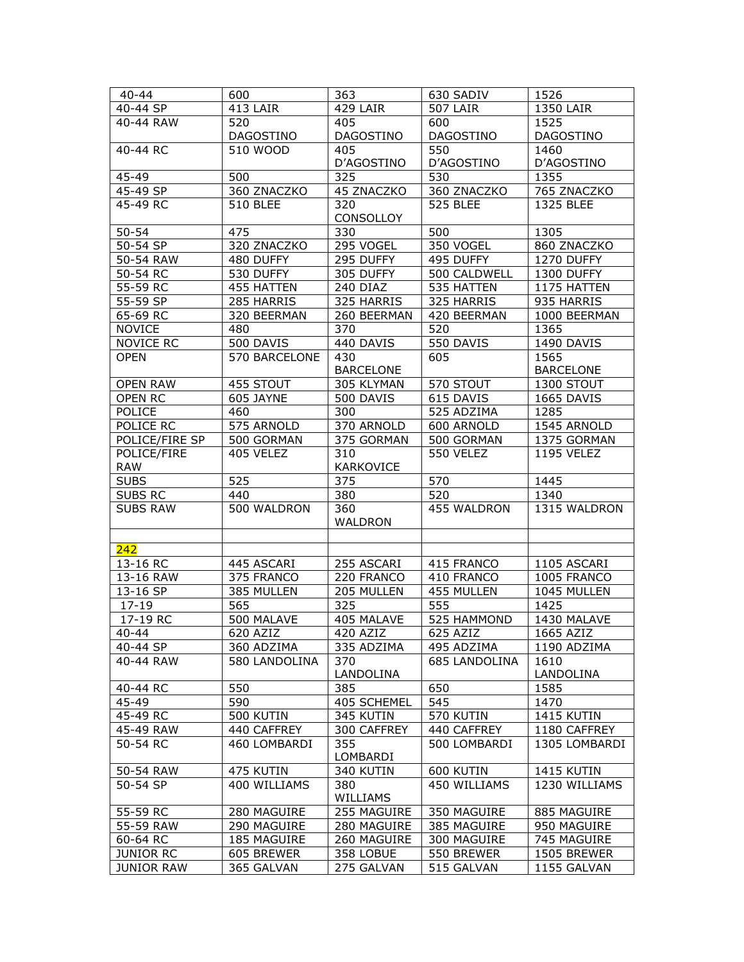| $40 - 44$         | 600                   | 363              | 630 SADIV       | 1526              |
|-------------------|-----------------------|------------------|-----------------|-------------------|
| 40-44 SP          | 413 LAIR              | 429 LAIR         | <b>507 LAIR</b> | 1350 LAIR         |
| 40-44 RAW         | 520                   | 405              | 600             | 1525              |
|                   | DAGOSTINO             | DAGOSTINO        | DAGOSTINO       | DAGOSTINO         |
| 40-44 RC          | 510 WOOD              | 405              | 550             | 1460              |
|                   |                       | D'AGOSTINO       | D'AGOSTINO      | D'AGOSTINO        |
| 45-49             | 500                   | 325              | 530             | 1355              |
| 45-49 SP          | 360 ZNACZKO           | 45 ZNACZKO       | 360 ZNACZKO     | 765 ZNACZKO       |
| 45-49 RC          | <b>510 BLEE</b>       | 320              | <b>525 BLEE</b> | 1325 BLEE         |
|                   |                       | CONSOLLOY        |                 |                   |
| $50 - 54$         | 475                   | 330              | 500             | 1305              |
| 50-54 SP          | 320 ZNACZKO           | 295 VOGEL        | 350 VOGEL       | 860 ZNACZKO       |
| 50-54 RAW         | 480 DUFFY             | 295 DUFFY        | 495 DUFFY       | 1270 DUFFY        |
| 50-54 RC          | 530 DUFFY             | 305 DUFFY        | 500 CALDWELL    | 1300 DUFFY        |
| 55-59 RC          | 455 HATTEN            | 240 DIAZ         | 535 HATTEN      | 1175 HATTEN       |
| 55-59 SP          | 285 HARRIS            | 325 HARRIS       | 325 HARRIS      | 935 HARRIS        |
| 65-69 RC          | 320 BEERMAN           | 260 BEERMAN      | 420 BEERMAN     | 1000 BEERMAN      |
| <b>NOVICE</b>     | 480                   | 370              | 520             | 1365              |
| NOVICE RC         | 500 DAVIS             | 440 DAVIS        | 550 DAVIS       | 1490 DAVIS        |
| <b>OPEN</b>       | 570 BARCELONE         | 430              | 605             | 1565              |
|                   |                       | <b>BARCELONE</b> |                 | <b>BARCELONE</b>  |
| <b>OPEN RAW</b>   | 455 STOUT             | 305 KLYMAN       | 570 STOUT       | 1300 STOUT        |
| OPEN RC           | 605 JAYNE             | 500 DAVIS        | 615 DAVIS       | 1665 DAVIS        |
| POLICE            | 460                   | 300              | 525 ADZIMA      | 1285              |
| POLICE RC         | 575 ARNOLD            | 370 ARNOLD       | 600 ARNOLD      | 1545 ARNOLD       |
| POLICE/FIRE SP    | 500 GORMAN            | 375 GORMAN       | 500 GORMAN      | 1375 GORMAN       |
| POLICE/FIRE       | 405 VELEZ             | 310              | 550 VELEZ       | <b>1195 VELEZ</b> |
| <b>RAW</b>        |                       | KARKOVICE        |                 |                   |
| <b>SUBS</b>       | 525                   | 375              | 570             | 1445              |
| <b>SUBS RC</b>    | 440                   | 380              | 520             | 1340              |
| <b>SUBS RAW</b>   | 500 WALDRON           | 360              | 455 WALDRON     | 1315 WALDRON      |
|                   |                       | WALDRON          |                 |                   |
|                   |                       |                  |                 |                   |
| 242               |                       |                  |                 |                   |
| 13-16 RC          | 445 ASCARI            | 255 ASCARI       | 415 FRANCO      | 1105 ASCARI       |
| 13-16 RAW         | 375 FRANCO            | 220 FRANCO       | 410 FRANCO      | 1005 FRANCO       |
| 13-16 SP          | 385 MULLEN            | 205 MULLEN       | 455 MULLEN      | 1045 MULLEN       |
| $17 - 19$         | 565                   | 325              | 555             | 1425              |
| 17-19 RC          | 500 MALAVE            | 405 MALAVE       | 525 HAMMOND     | 1430 MALAVE       |
| 40-44             | $\overline{62}0$ AZIZ | 420 AZIZ         | 625 AZIZ        | 1665 AZIZ         |
| 40-44 SP          | 360 ADZIMA            | 335 ADZIMA       | 495 ADZIMA      | 1190 ADZIMA       |
| 40-44 RAW         | 580 LANDOLINA         | 370              | 685 LANDOLINA   | 1610              |
|                   |                       | LANDOLINA        |                 | LANDOLINA         |
| 40-44 RC          | 550                   | 385              | 650             | 1585              |
| 45-49             | 590                   | 405 SCHEMEL      | 545             | 1470              |
| 45-49 RC          | 500 KUTIN             | 345 KUTIN        | 570 KUTIN       | 1415 KUTIN        |
| 45-49 RAW         | 440 CAFFREY           | 300 CAFFREY      | 440 CAFFREY     | 1180 CAFFREY      |
| 50-54 RC          | 460 LOMBARDI          | 355              | 500 LOMBARDI    | 1305 LOMBARDI     |
|                   |                       | LOMBARDI         |                 |                   |
| 50-54 RAW         | 475 KUTIN             | 340 KUTIN        | 600 KUTIN       | 1415 KUTIN        |
| 50-54 SP          | 400 WILLIAMS          | 380              | 450 WILLIAMS    | 1230 WILLIAMS     |
|                   |                       | WILLIAMS         |                 |                   |
| 55-59 RC          | 280 MAGUIRE           | 255 MAGUIRE      | 350 MAGUIRE     | 885 MAGUIRE       |
| 55-59 RAW         | 290 MAGUIRE           | 280 MAGUIRE      | 385 MAGUIRE     | 950 MAGUIRE       |
| 60-64 RC          | 185 MAGUIRE           | 260 MAGUIRE      | 300 MAGUIRE     | 745 MAGUIRE       |
| <b>JUNIOR RC</b>  | 605 BREWER            | 358 LOBUE        | 550 BREWER      | 1505 BREWER       |
| <b>JUNIOR RAW</b> | 365 GALVAN            | 275 GALVAN       | 515 GALVAN      | 1155 GALVAN       |
|                   |                       |                  |                 |                   |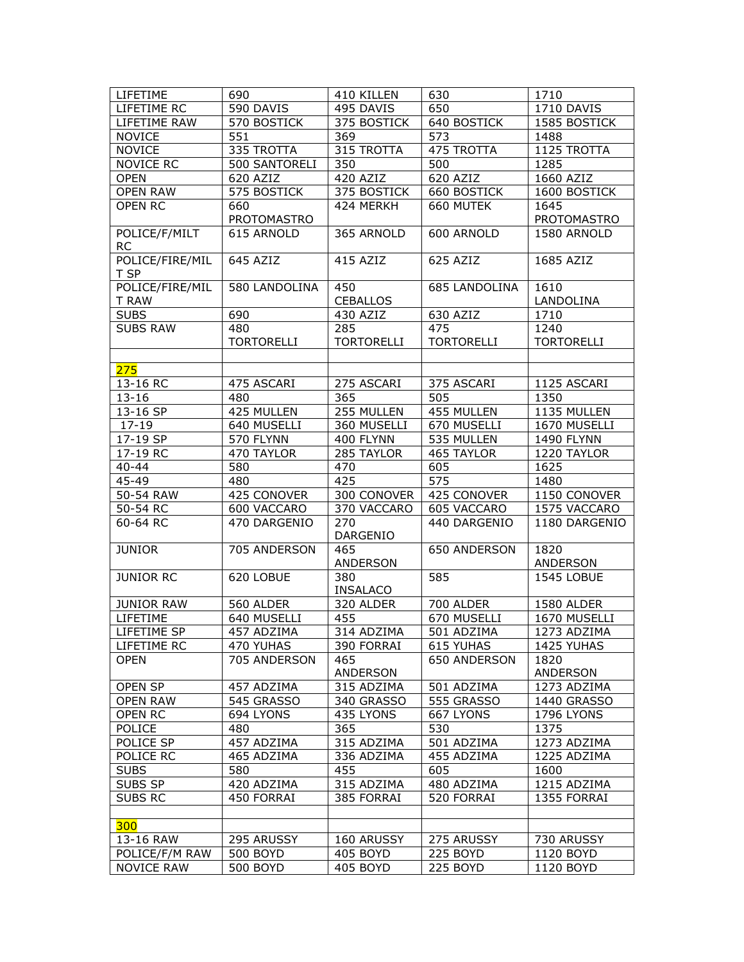| LIFETIME                   | 690                         | 410 KILLEN             | 630                         | 1710                          |
|----------------------------|-----------------------------|------------------------|-----------------------------|-------------------------------|
| LIFETIME RC                | 590 DAVIS                   | 495 DAVIS              | 650                         | 1710 DAVIS                    |
| LIFETIME RAW               | 570 BOSTICK                 | 375 BOSTICK            | 640 BOSTICK                 | 1585 BOSTICK                  |
| <b>NOVICE</b>              | 551                         | 369                    | 573                         | 1488                          |
| <b>NOVICE</b>              | 335 TROTTA                  | 315 TROTTA             | 475 TROTTA                  | 1125 TROTTA                   |
| <b>NOVICE RC</b>           | 500 SANTORELI               | 350                    | 500                         | 1285                          |
| <b>OPEN</b>                | 620 AZIZ                    | 420 AZIZ               | 620 AZIZ                    | 1660 AZIZ                     |
| <b>OPEN RAW</b>            | 575 BOSTICK                 | 375 BOSTICK            | 660 BOSTICK                 | 1600 BOSTICK                  |
| OPEN RC                    | 660                         | 424 MERKH              | 660 MUTEK                   | 1645                          |
|                            | PROTOMASTRO                 |                        |                             | PROTOMASTRO                   |
| POLICE/F/MILT<br><b>RC</b> | 615 ARNOLD                  | 365 ARNOLD             | 600 ARNOLD                  | 1580 ARNOLD                   |
| POLICE/FIRE/MIL<br>T SP    | 645 AZIZ                    | 415 AZIZ               | 625 AZIZ                    | 1685 AZIZ                     |
| POLICE/FIRE/MIL            | 580 LANDOLINA               | 450                    | <b>685 LANDOLINA</b>        | 1610                          |
| T RAW                      |                             | <b>CEBALLOS</b>        |                             | LANDOLINA                     |
| <b>SUBS</b>                | 690                         | 430 AZIZ               | 630 AZIZ                    | 1710                          |
| <b>SUBS RAW</b>            | 480                         | 285                    | 475                         | 1240                          |
|                            | <b>TORTORELLI</b>           | <b>TORTORELLI</b>      | <b>TORTORELLI</b>           | <b>TORTORELLI</b>             |
|                            |                             |                        |                             |                               |
| 275                        |                             |                        |                             |                               |
| 13-16 RC                   | 475 ASCARI                  | 275 ASCARI             | 375 ASCARI                  | 1125 ASCARI                   |
| $13 - 16$                  | 480                         | 365                    | 505                         | 1350                          |
| 13-16 SP                   | 425 MULLEN                  | 255 MULLEN             | 455 MULLEN                  | 1135 MULLEN                   |
| $17 - 19$                  | 640 MUSELLI                 | 360 MUSELLI            | 670 MUSELLI                 | 1670 MUSELLI                  |
| 17-19 SP                   | 570 FLYNN                   | 400 FLYNN              | 535 MULLEN                  | <b>1490 FLYNN</b>             |
| 17-19 RC                   | 470 TAYLOR                  | 285 TAYLOR             | 465 TAYLOR                  | 1220 TAYLOR                   |
| $40 - 44$                  | 580                         | 470                    | 605                         | 1625                          |
| 45-49                      | 480                         | 425                    | 575                         | 1480                          |
| 50-54 RAW                  | 425 CONOVER                 | 300 CONOVER            | 425 CONOVER                 | 1150 CONOVER                  |
|                            |                             |                        |                             |                               |
| 50-54 RC<br>60-64 RC       | 600 VACCARO<br>470 DARGENIO | 370 VACCARO<br>270     | 605 VACCARO<br>440 DARGENIO | 1575 VACCARO<br>1180 DARGENIO |
|                            |                             | DARGENIO               |                             |                               |
| <b>JUNIOR</b>              | 705 ANDERSON                | 465                    | 650 ANDERSON                | 1820                          |
|                            |                             | <b>ANDERSON</b>        |                             | ANDERSON                      |
| <b>JUNIOR RC</b>           | 620 LOBUE                   | 380<br><b>INSALACO</b> | 585                         | 1545 LOBUE                    |
| <b>JUNIOR RAW</b>          | 560 ALDER                   | 320 ALDER              | 700 ALDER                   | 1580 ALDER                    |
| LIFETIME                   | 640 MUSELLI                 | 455                    | 670 MUSELLI                 | 1670 MUSELLI                  |
| LIFETIME SP                | 457 ADZIMA                  | 314 ADZIMA             | 501 ADZIMA                  | 1273 ADZIMA                   |
| LIFETIME RC                | 470 YUHAS                   | 390 FORRAI             | 615 YUHAS                   | 1425 YUHAS                    |
| <b>OPEN</b>                | 705 ANDERSON                | 465<br>ANDERSON        | 650 ANDERSON                | 1820<br>ANDERSON              |
| OPEN SP                    | 457 ADZIMA                  | 315 ADZIMA             | 501 ADZIMA                  | 1273 ADZIMA                   |
| <b>OPEN RAW</b>            | 545 GRASSO                  | 340 GRASSO             | 555 GRASSO                  | 1440 GRASSO                   |
| OPEN RC                    | 694 LYONS                   | 435 LYONS              | 667 LYONS                   | 1796 LYONS                    |
| POLICE                     | 480                         | 365                    | 530                         | 1375                          |
| POLICE SP                  | 457 ADZIMA                  | 315 ADZIMA             | 501 ADZIMA                  | 1273 ADZIMA                   |
| POLICE RC                  | 465 ADZIMA                  | 336 ADZIMA             | 455 ADZIMA                  | 1225 ADZIMA                   |
| <b>SUBS</b>                | 580                         | 455                    | 605                         | 1600                          |
| SUBS SP                    | 420 ADZIMA                  | 315 ADZIMA             | 480 ADZIMA                  | 1215 ADZIMA                   |
| <b>SUBS RC</b>             | 450 FORRAI                  | 385 FORRAI             | 520 FORRAI                  | 1355 FORRAI                   |
|                            |                             |                        |                             |                               |
| 300                        |                             |                        |                             |                               |
| 13-16 RAW                  | 295 ARUSSY                  | 160 ARUSSY             | 275 ARUSSY                  | 730 ARUSSY                    |
| POLICE/F/M RAW             | 500 BOYD                    | 405 BOYD               | 225 BOYD                    | 1120 BOYD                     |
| <b>NOVICE RAW</b>          | 500 BOYD                    | 405 BOYD               | 225 BOYD                    | 1120 BOYD                     |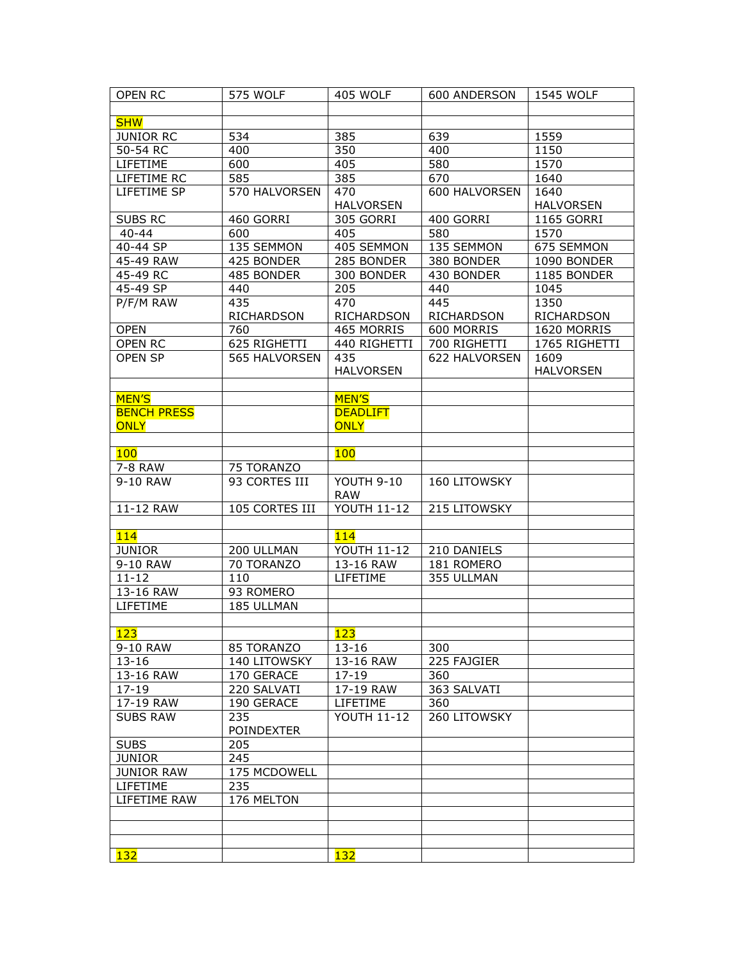| <b>OPEN RC</b>     | 575 WOLF          | 405 WOLF           | 600 ANDERSON        | 1545 WOLF         |
|--------------------|-------------------|--------------------|---------------------|-------------------|
|                    |                   |                    |                     |                   |
| <b>SHW</b>         |                   |                    |                     |                   |
| <b>JUNIOR RC</b>   | 534               | 385                | 639                 | 1559              |
| 50-54 RC           | 400               | 350                | 400                 | 1150              |
| LIFETIME           | 600               | 405                | 580                 | 1570              |
| LIFETIME RC        | 585               | 385                | 670                 | 1640              |
| LIFETIME SP        | 570 HALVORSEN     | 470                | 600 HALVORSEN       | 1640              |
|                    |                   |                    |                     |                   |
|                    |                   | <b>HALVORSEN</b>   |                     | <b>HALVORSEN</b>  |
| SUBS RC            | 460 GORRI         | 305 GORRI          | 400 GORRI           | 1165 GORRI        |
| $40 - 44$          | 600               | 405                | 580                 | 1570              |
| 40-44 SP           | 135 SEMMON        | 405 SEMMON         | 135 SEMMON          | 675 SEMMON        |
| 45-49 RAW          | 425 BONDER        | 285 BONDER         | 380 BONDER          | 1090 BONDER       |
| 45-49 RC           | 485 BONDER        | 300 BONDER         | 430 BONDER          | 1185 BONDER       |
| 45-49 SP           | 440               | 205                | 440                 | 1045              |
| P/F/M RAW          | 435               | 470                | 445                 | 1350              |
|                    | RICHARDSON        | RICHARDSON         | RICHARDSON          | <b>RICHARDSON</b> |
| <b>OPEN</b>        | 760               | 465 MORRIS         | 600 MORRIS          | 1620 MORRIS       |
| OPEN RC            | 625 RIGHETTI      | 440 RIGHETTI       | 700 RIGHETTI        | 1765 RIGHETTI     |
| OPEN SP            | 565 HALVORSEN     | 435                | 622 HALVORSEN       | 1609              |
|                    |                   | <b>HALVORSEN</b>   |                     | <b>HALVORSEN</b>  |
|                    |                   |                    |                     |                   |
| MEN'S              |                   | <b>MEN'S</b>       |                     |                   |
| <b>BENCH PRESS</b> |                   | <b>DEADLIFT</b>    |                     |                   |
| <b>ONLY</b>        |                   | <b>ONLY</b>        |                     |                   |
|                    |                   |                    |                     |                   |
| 100                |                   | 100                |                     |                   |
| 7-8 RAW            | 75 TORANZO        |                    |                     |                   |
| 9-10 RAW           | 93 CORTES III     | <b>YOUTH 9-10</b>  | <b>160 LITOWSKY</b> |                   |
|                    |                   | <b>RAW</b>         |                     |                   |
| 11-12 RAW          | 105 CORTES III    | <b>YOUTH 11-12</b> | 215 LITOWSKY        |                   |
|                    |                   |                    |                     |                   |
| 114                |                   | 114                |                     |                   |
| <b>JUNIOR</b>      | 200 ULLMAN        | <b>YOUTH 11-12</b> | 210 DANIELS         |                   |
| 9-10 RAW           | 70 TORANZO        | 13-16 RAW          | 181 ROMERO          |                   |
| $11 - 12$          | 110               | LIFETIME           | 355 ULLMAN          |                   |
| 13-16 RAW          | 93 ROMERO         |                    |                     |                   |
| <b>LIFETIME</b>    | 185 ULLMAN        |                    |                     |                   |
|                    |                   |                    |                     |                   |
| 123                |                   | $\overline{123}$   |                     |                   |
| 9-10 RAW           | 85 TORANZO        | 13-16              | 300                 |                   |
| $13 - 16$          | 140 LITOWSKY      | 13-16 RAW          | 225 FAJGIER         |                   |
|                    |                   |                    |                     |                   |
| 13-16 RAW          | 170 GERACE        | 17-19              | 360                 |                   |
| $17 - 19$          | 220 SALVATI       | 17-19 RAW          | 363 SALVATI         |                   |
| 17-19 RAW          | 190 GERACE        | LIFETIME           | 360                 |                   |
| <b>SUBS RAW</b>    | 235               | <b>YOUTH 11-12</b> | 260 LITOWSKY        |                   |
|                    | <b>POINDEXTER</b> |                    |                     |                   |
| <b>SUBS</b>        | 205               |                    |                     |                   |
| <b>JUNIOR</b>      | 245               |                    |                     |                   |
| <b>JUNIOR RAW</b>  | 175 MCDOWELL      |                    |                     |                   |
| LIFETIME           | 235               |                    |                     |                   |
| LIFETIME RAW       | 176 MELTON        |                    |                     |                   |
|                    |                   |                    |                     |                   |
|                    |                   |                    |                     |                   |
|                    |                   |                    |                     |                   |
| <b>132</b>         |                   | 132                |                     |                   |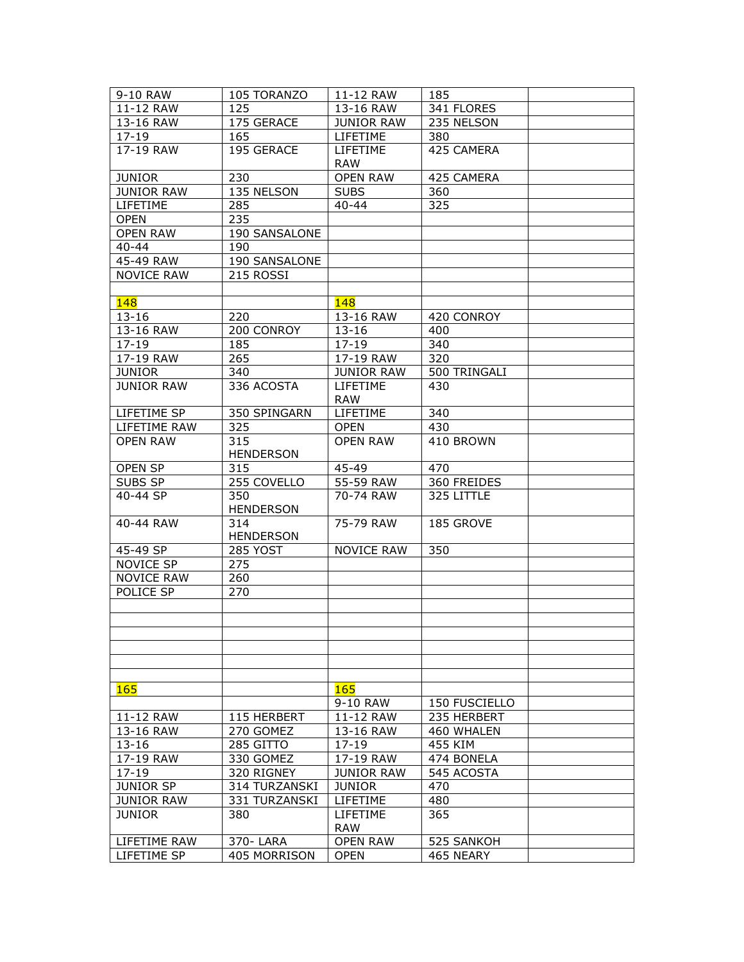| 9-10 RAW          | 105 TORANZO      | 11-12 RAW                     | 185           |  |
|-------------------|------------------|-------------------------------|---------------|--|
| 11-12 RAW         | 125              | 13-16 RAW                     | 341 FLORES    |  |
| 13-16 RAW         | 175 GERACE       | <b>JUNIOR RAW</b>             | 235 NELSON    |  |
| $17 - 19$         | 165              | LIFETIME                      | 380           |  |
| 17-19 RAW         | 195 GERACE       | LIFETIME                      | 425 CAMERA    |  |
|                   |                  | <b>RAW</b>                    |               |  |
| <b>JUNIOR</b>     | 230              | <b>OPEN RAW</b>               | 425 CAMERA    |  |
| <b>JUNIOR RAW</b> | 135 NELSON       | <b>SUBS</b>                   | 360           |  |
| LIFETIME          | 285              | $40 - 44$                     | 325           |  |
| <b>OPEN</b>       | 235              |                               |               |  |
| <b>OPEN RAW</b>   | 190 SANSALONE    |                               |               |  |
| 40-44             | 190              |                               |               |  |
| 45-49 RAW         | 190 SANSALONE    |                               |               |  |
| <b>NOVICE RAW</b> | 215 ROSSI        |                               |               |  |
|                   |                  |                               |               |  |
| <b>148</b>        |                  | 148                           |               |  |
| $13 - 16$         | 220              | 13-16 RAW                     | 420 CONROY    |  |
| 13-16 RAW         | 200 CONROY       | $13 - 16$                     | 400           |  |
| $17 - 19$         | 185              | $17 - 19$                     | 340           |  |
| 17-19 RAW         | 265              | 17-19 RAW                     | 320           |  |
| <b>JUNIOR</b>     | 340              | <b>JUNIOR RAW</b>             | 500 TRINGALI  |  |
| <b>JUNIOR RAW</b> | 336 ACOSTA       | <b>LIFETIME</b>               | 430           |  |
|                   |                  | <b>RAW</b>                    |               |  |
| LIFETIME SP       | 350 SPINGARN     | LIFETIME                      | 340           |  |
| LIFETIME RAW      | 325              | <b>OPEN</b>                   | 430           |  |
| <b>OPEN RAW</b>   | 315              | <b>OPEN RAW</b>               | 410 BROWN     |  |
|                   | <b>HENDERSON</b> |                               |               |  |
| OPEN SP           | 315              | 45-49                         | 470           |  |
| SUBS SP           | 255 COVELLO      | 55-59 RAW                     | 360 FREIDES   |  |
| 40-44 SP          | 350              | 70-74 RAW                     | 325 LITTLE    |  |
|                   | <b>HENDERSON</b> |                               |               |  |
| 40-44 RAW         | 314              | 75-79 RAW                     | 185 GROVE     |  |
|                   | <b>HENDERSON</b> |                               |               |  |
| 45-49 SP          | <b>285 YOST</b>  | <b>NOVICE RAW</b>             | 350           |  |
| NOVICE SP         | 275              |                               |               |  |
| <b>NOVICE RAW</b> | 260              |                               |               |  |
| POLICE SP         | 270              |                               |               |  |
|                   |                  |                               |               |  |
|                   |                  |                               |               |  |
|                   |                  |                               |               |  |
|                   |                  |                               |               |  |
|                   |                  |                               |               |  |
|                   |                  |                               |               |  |
| <b>165</b>        |                  | <b>165</b>                    |               |  |
|                   |                  | 9-10 RAW                      | 150 FUSCIELLO |  |
| 11-12 RAW         | 115 HERBERT      | 11-12 RAW                     | 235 HERBERT   |  |
| 13-16 RAW         | 270 GOMEZ        | 13-16 RAW                     | 460 WHALEN    |  |
| $13 - 16$         | 285 GITTO        | $17 - 19$                     | 455 KIM       |  |
| 17-19 RAW         | 330 GOMEZ        | 17-19 RAW                     | 474 BONELA    |  |
| $17 - 19$         | 320 RIGNEY       | <b>JUNIOR RAW</b>             | 545 ACOSTA    |  |
| <b>JUNIOR SP</b>  | 314 TURZANSKI    | <b>JUNIOR</b>                 | 470           |  |
| <b>JUNIOR RAW</b> | 331 TURZANSKI    | LIFETIME                      | 480           |  |
| <b>JUNIOR</b>     | 380              | <b>LIFETIME</b><br><b>RAW</b> | 365           |  |
| LIFETIME RAW      | 370-LARA         | <b>OPEN RAW</b>               | 525 SANKOH    |  |
| LIFETIME SP       | 405 MORRISON     | <b>OPEN</b>                   | 465 NEARY     |  |
|                   |                  |                               |               |  |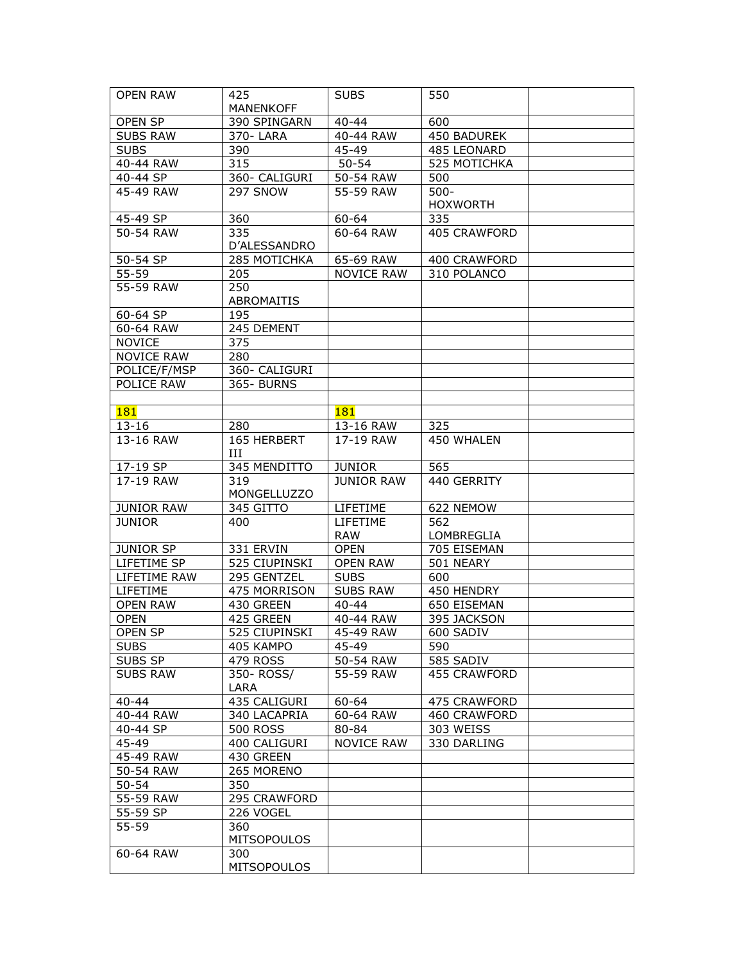| <b>OPEN RAW</b>   | 425.                      | <b>SUBS</b>       | 550             |  |
|-------------------|---------------------------|-------------------|-----------------|--|
|                   | <b>MANENKOFF</b>          |                   |                 |  |
| OPEN SP           | 390 SPINGARN              | $40 - 44$         | 600             |  |
| <b>SUBS RAW</b>   | 370-LARA                  | 40-44 RAW         | 450 BADUREK     |  |
| <b>SUBS</b>       | 390                       | 45-49             | 485 LEONARD     |  |
| 40-44 RAW         | 315                       | $50 - 54$         | 525 MOTICHKA    |  |
| 40-44 SP          | 360- CALIGURI             | 50-54 RAW         | 500             |  |
| 45-49 RAW         | 297 SNOW                  | 55-59 RAW         | $500 -$         |  |
|                   |                           |                   | <b>HOXWORTH</b> |  |
| 45-49 SP          | 360                       | 60-64             | 335             |  |
| 50-54 RAW         | 335                       | 60-64 RAW         | 405 CRAWFORD    |  |
|                   | D'ALESSANDRO              |                   |                 |  |
| 50-54 SP          | 285 MOTICHKA              | 65-69 RAW         | 400 CRAWFORD    |  |
| 55-59             | 205                       | <b>NOVICE RAW</b> | 310 POLANCO     |  |
| 55-59 RAW         | 250                       |                   |                 |  |
|                   | ABROMAITIS                |                   |                 |  |
| 60-64 SP          | 195                       |                   |                 |  |
| 60-64 RAW         | 245 DEMENT                |                   |                 |  |
| <b>NOVICE</b>     | 375                       |                   |                 |  |
| <b>NOVICE RAW</b> | 280                       |                   |                 |  |
| POLICE/F/MSP      | 360- CALIGURI             |                   |                 |  |
| POLICE RAW        | 365- BURNS                |                   |                 |  |
|                   |                           |                   |                 |  |
| <b>181</b>        |                           | 181               |                 |  |
| $13 - 16$         | 280                       | 13-16 RAW         | 325             |  |
| 13-16 RAW         | 165 HERBERT<br>Ш          | 17-19 RAW         | 450 WHALEN      |  |
| 17-19 SP          | 345 MENDITTO              | <b>JUNIOR</b>     | 565             |  |
| 17-19 RAW         | 319<br><b>MONGELLUZZO</b> | <b>JUNIOR RAW</b> | 440 GERRITY     |  |
| <b>JUNIOR RAW</b> | 345 GITTO                 | LIFETIME          | 622 NEMOW       |  |
| <b>JUNIOR</b>     | 400                       | <b>LIFETIME</b>   | 562             |  |
|                   |                           | <b>RAW</b>        | LOMBREGLIA      |  |
| <b>JUNIOR SP</b>  | 331 ERVIN                 | <b>OPEN</b>       | 705 EISEMAN     |  |
| LIFETIME SP       | 525 CIUPINSKI             | <b>OPEN RAW</b>   | 501 NEARY       |  |
| LIFETIME RAW      | 295 GENTZEL               | <b>SUBS</b>       | 600             |  |
| LIFETIME          | 475 MORRISON              | <b>SUBS RAW</b>   | 450 HENDRY      |  |
| <b>OPEN RAW</b>   | 430 GREEN                 | $40 - 44$         | 650 EISEMAN     |  |
| <b>OPEN</b>       | 425 GREEN                 | 40-44 RAW         | 395 JACKSON     |  |
| OPEN SP           | 525 CIUPINSKI             | 45-49 RAW         | 600 SADIV       |  |
| <b>SUBS</b>       | 405 KAMPO                 | 45-49             | 590             |  |
| SUBS SP           | 479 ROSS                  | 50-54 RAW         | 585 SADIV       |  |
| <b>SUBS RAW</b>   | 350- ROSS/                | 55-59 RAW         | 455 CRAWFORD    |  |
|                   | LARA                      |                   |                 |  |
| $40 - 44$         | 435 CALIGURI              | $60 - 64$         | 475 CRAWFORD    |  |
| 40-44 RAW         | 340 LACAPRIA              | 60-64 RAW         | 460 CRAWFORD    |  |
| 40-44 SP          | <b>500 ROSS</b>           | 80-84             | 303 WEISS       |  |
| 45-49             | 400 CALIGURI              | <b>NOVICE RAW</b> | 330 DARLING     |  |
| 45-49 RAW         | 430 GREEN                 |                   |                 |  |
| 50-54 RAW         | 265 MORENO                |                   |                 |  |
| $50 - 54$         | 350                       |                   |                 |  |
| 55-59 RAW         | 295 CRAWFORD              |                   |                 |  |
| 55-59 SP          | 226 VOGEL                 |                   |                 |  |
| 55-59             | 360                       |                   |                 |  |
|                   | <b>MITSOPOULOS</b>        |                   |                 |  |
| 60-64 RAW         | 300                       |                   |                 |  |
|                   | <b>MITSOPOULOS</b>        |                   |                 |  |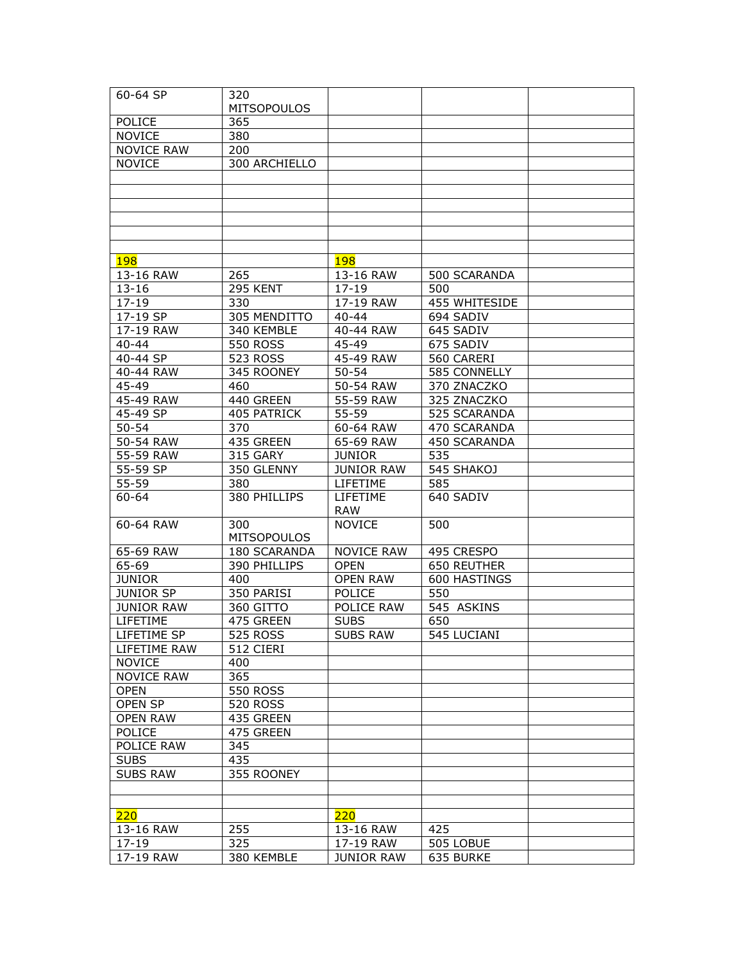| $60 - 64$ SP          | 320                       |                               |               |  |
|-----------------------|---------------------------|-------------------------------|---------------|--|
|                       | <b>MITSOPOULOS</b>        |                               |               |  |
| POLICE                | 365                       |                               |               |  |
| <b>NOVICE</b>         | 380                       |                               |               |  |
| <b>NOVICE RAW</b>     | 200                       |                               |               |  |
| <b>NOVICE</b>         | 300 ARCHIELLO             |                               |               |  |
|                       |                           |                               |               |  |
|                       |                           |                               |               |  |
|                       |                           |                               |               |  |
|                       |                           |                               |               |  |
|                       |                           |                               |               |  |
|                       |                           |                               |               |  |
| 198                   |                           | <b>198</b>                    |               |  |
| 13-16 RAW             | 265                       | 13-16 RAW                     | 500 SCARANDA  |  |
| $13 - 16$             | 295 KENT                  | $17 - 19$                     | 500           |  |
| $17 - 19$             | 330                       | 17-19 RAW                     | 455 WHITESIDE |  |
| 17-19 SP              | 305 MENDITTO              | $40 - 44$                     | 694 SADIV     |  |
|                       |                           | 40-44 RAW                     |               |  |
| 17-19 RAW             | 340 KEMBLE                |                               | 645 SADIV     |  |
| $40 - 44$             | 550 ROSS                  | 45-49                         | 675 SADIV     |  |
| 40-44 SP<br>40-44 RAW | 523 ROSS                  | 45-49 RAW                     | 560 CARERI    |  |
|                       | 345 ROONEY                | $50 - 54$                     | 585 CONNELLY  |  |
| 45-49                 | 460                       | 50-54 RAW                     | 370 ZNACZKO   |  |
| 45-49 RAW             | 440 GREEN                 | 55-59 RAW                     | 325 ZNACZKO   |  |
| 45-49 SP              | 405 PATRICK               | 55-59                         | 525 SCARANDA  |  |
| $50 - 54$             | 370                       | 60-64 RAW                     | 470 SCARANDA  |  |
| 50-54 RAW             | 435 GREEN                 | 65-69 RAW                     | 450 SCARANDA  |  |
| 55-59 RAW             | 315 GARY                  | <b>JUNIOR</b>                 | 535           |  |
| 55-59 SP              | 350 GLENNY                | <b>JUNIOR RAW</b>             | 545 SHAKOJ    |  |
| 55-59                 | 380                       | LIFETIME                      | 585           |  |
| $60 - 64$             | 380 PHILLIPS              | <b>LIFETIME</b><br><b>RAW</b> | 640 SADIV     |  |
| 60-64 RAW             | 300<br><b>MITSOPOULOS</b> | <b>NOVICE</b>                 | 500           |  |
| 65-69 RAW             | 180 SCARANDA              | <b>NOVICE RAW</b>             | 495 CRESPO    |  |
| 65-69                 | 390 PHILLIPS              | <b>OPEN</b>                   | 650 REUTHER   |  |
| <b>JUNIOR</b>         | 400                       | <b>OPEN RAW</b>               | 600 HASTINGS  |  |
| <b>JUNIOR SP</b>      | 350 PARISI                | <b>POLICE</b>                 | 550           |  |
| <b>JUNIOR RAW</b>     | 360 GITTO                 | POLICE RAW                    | 545 ASKINS    |  |
| LIFETIME              | 475 GREEN                 | <b>SUBS</b>                   | 650           |  |
| LIFETIME SP           | <b>525 ROSS</b>           | <b>SUBS RAW</b>               | 545 LUCIANI   |  |
| LIFETIME RAW          | 512 CIERI                 |                               |               |  |
| <b>NOVICE</b>         | 400                       |                               |               |  |
| <b>NOVICE RAW</b>     | 365                       |                               |               |  |
| <b>OPEN</b>           | <b>550 ROSS</b>           |                               |               |  |
| OPEN SP               | 520 ROSS                  |                               |               |  |
| <b>OPEN RAW</b>       | 435 GREEN                 |                               |               |  |
| <b>POLICE</b>         | 475 GREEN                 |                               |               |  |
| POLICE RAW            | 345                       |                               |               |  |
| <b>SUBS</b>           | 435                       |                               |               |  |
| <b>SUBS RAW</b>       | 355 ROONEY                |                               |               |  |
|                       |                           |                               |               |  |
|                       |                           |                               |               |  |
| 220                   |                           | 220                           |               |  |
| 13-16 RAW             | 255                       | 13-16 RAW                     | 425           |  |
| $17 - 19$             | 325                       | 17-19 RAW                     | 505 LOBUE     |  |
| 17-19 RAW             | 380 KEMBLE                | <b>JUNIOR RAW</b>             | 635 BURKE     |  |
|                       |                           |                               |               |  |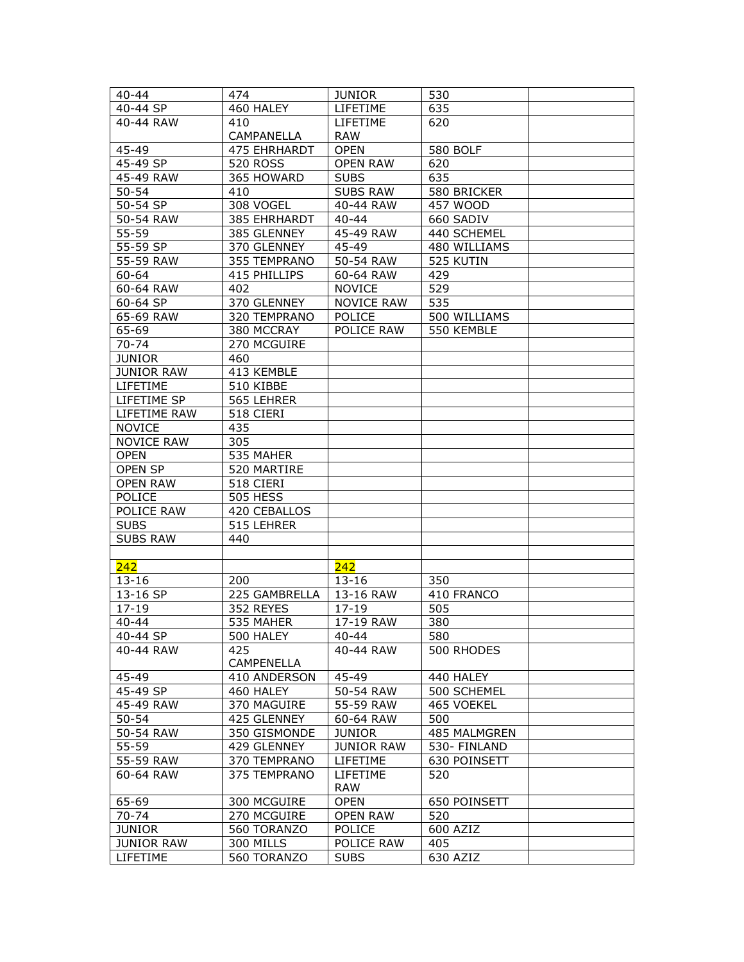| $40 - 44$         | 474             | <b>JUNIOR</b>     | 530             |  |
|-------------------|-----------------|-------------------|-----------------|--|
| 40-44 SP          | 460 HALEY       | LIFETIME          | 635             |  |
| 40-44 RAW         | 410             | LIFETIME          | 620             |  |
|                   | CAMPANELLA      | <b>RAW</b>        |                 |  |
| 45-49             | 475 EHRHARDT    | <b>OPEN</b>       | <b>580 BOLF</b> |  |
| 45-49 SP          | <b>520 ROSS</b> | <b>OPEN RAW</b>   | 620             |  |
| 45-49 RAW         | 365 HOWARD      | <b>SUBS</b>       | 635             |  |
| $50 - 54$         | 410             | <b>SUBS RAW</b>   | 580 BRICKER     |  |
| 50-54 SP          | 308 VOGEL       | 40-44 RAW         | 457 WOOD        |  |
| 50-54 RAW         | 385 EHRHARDT    | $40 - 44$         | 660 SADIV       |  |
| 55-59             | 385 GLENNEY     | 45-49 RAW         | 440 SCHEMEL     |  |
| 55-59 SP          | 370 GLENNEY     | 45-49             | 480 WILLIAMS    |  |
| 55-59 RAW         | 355 TEMPRANO    | 50-54 RAW         | 525 KUTIN       |  |
| 60-64             | 415 PHILLIPS    | 60-64 RAW         | 429             |  |
| 60-64 RAW         | 402             | <b>NOVICE</b>     | 529             |  |
| 60-64 SP          | 370 GLENNEY     | <b>NOVICE RAW</b> | 535             |  |
| 65-69 RAW         | 320 TEMPRANO    | POLICE            | 500 WILLIAMS    |  |
| 65-69             | 380 MCCRAY      | POLICE RAW        | 550 KEMBLE      |  |
|                   |                 |                   |                 |  |
| $70 - 74$         | 270 MCGUIRE     |                   |                 |  |
| <b>JUNIOR</b>     | 460             |                   |                 |  |
| <b>JUNIOR RAW</b> | 413 KEMBLE      |                   |                 |  |
| LIFETIME          | 510 KIBBE       |                   |                 |  |
| LIFETIME SP       | 565 LEHRER      |                   |                 |  |
| LIFETIME RAW      | 518 CIERI       |                   |                 |  |
| <b>NOVICE</b>     | 435             |                   |                 |  |
| <b>NOVICE RAW</b> | 305             |                   |                 |  |
| <b>OPEN</b>       | 535 MAHER       |                   |                 |  |
| <b>OPEN SP</b>    | 520 MARTIRE     |                   |                 |  |
| <b>OPEN RAW</b>   | 518 CIERI       |                   |                 |  |
| <b>POLICE</b>     | <b>505 HESS</b> |                   |                 |  |
| POLICE RAW        | 420 CEBALLOS    |                   |                 |  |
| <b>SUBS</b>       | 515 LEHRER      |                   |                 |  |
| <b>SUBS RAW</b>   | 440             |                   |                 |  |
|                   |                 |                   |                 |  |
| 242               |                 | 242               |                 |  |
| $13 - 16$         | 200             | $13 - 16$         | 350             |  |
| 13-16 SP          | 225 GAMBRELLA   | 13-16 RAW         | 410 FRANCO      |  |
| $17 - 19$         | 352 REYES       | $17 - 19$         | 505             |  |
| $40 - 44$         | 535 MAHER       | 17-19 RAW         | 380             |  |
| 40-44 SP          | 500 HALEY       | 40-44             | 580             |  |
| 40-44 RAW         | 425             | 40-44 RAW         | 500 RHODES      |  |
| 45-49             | CAMPENELLA      |                   |                 |  |
| 45-49 SP          | 410 ANDERSON    | 45-49             | 440 HALEY       |  |
| 45-49 RAW         | 460 HALEY       | 50-54 RAW         | 500 SCHEMEL     |  |
|                   | 370 MAGUIRE     | 55-59 RAW         | 465 VOEKEL      |  |
| $50 - 54$         | 425 GLENNEY     | 60-64 RAW         | 500             |  |
| 50-54 RAW         | 350 GISMONDE    | <b>JUNIOR</b>     | 485 MALMGREN    |  |
| $55 - 59$         | 429 GLENNEY     | <b>JUNIOR RAW</b> | 530- FINLAND    |  |
| 55-59 RAW         | 370 TEMPRANO    | LIFETIME          | 630 POINSETT    |  |
| 60-64 RAW         | 375 TEMPRANO    | LIFETIME          | 520             |  |
|                   |                 | <b>RAW</b>        |                 |  |
| 65-69             | 300 MCGUIRE     | <b>OPEN</b>       | 650 POINSETT    |  |
| $70 - 74$         | 270 MCGUIRE     | <b>OPEN RAW</b>   | 520             |  |
| <b>JUNIOR</b>     | 560 TORANZO     | POLICE            | 600 AZIZ        |  |
| <b>JUNIOR RAW</b> | 300 MILLS       | POLICE RAW        | 405             |  |
| LIFETIME          | 560 TORANZO     | <b>SUBS</b>       | 630 AZIZ        |  |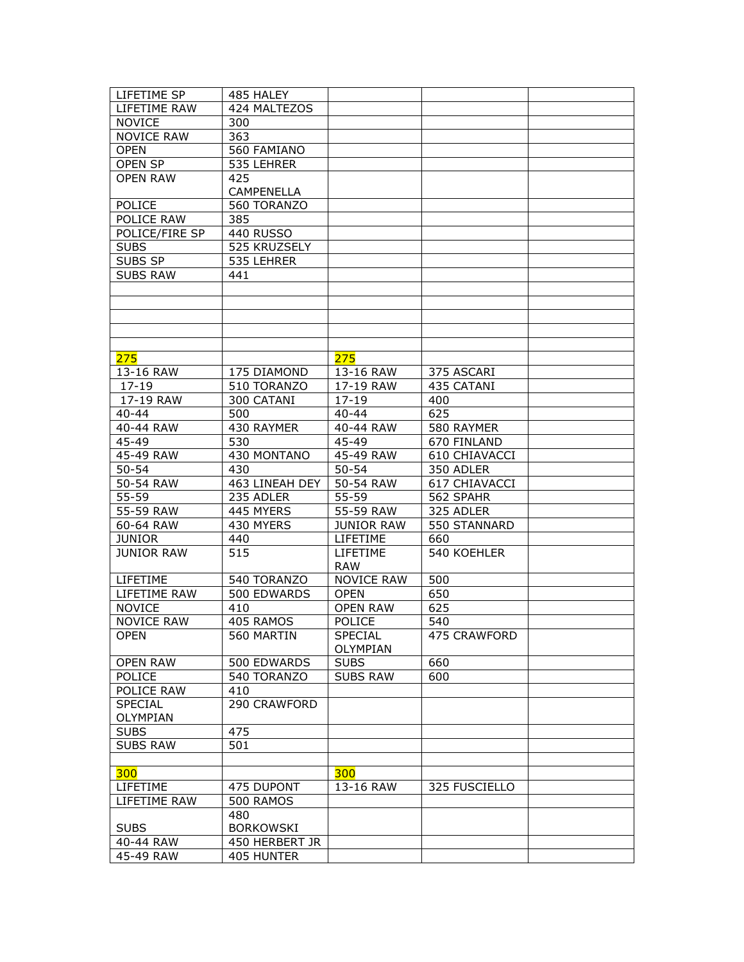| LIFETIME SP       | 485 HALEY         |                   |               |  |
|-------------------|-------------------|-------------------|---------------|--|
| LIFETIME RAW      | 424 MALTEZOS      |                   |               |  |
| <b>NOVICE</b>     | 300               |                   |               |  |
| <b>NOVICE RAW</b> | 363               |                   |               |  |
| <b>OPEN</b>       | 560 FAMIANO       |                   |               |  |
| <b>OPEN SP</b>    | 535 LEHRER        |                   |               |  |
| <b>OPFN RAW</b>   | 425               |                   |               |  |
|                   | <b>CAMPENELLA</b> |                   |               |  |
| <b>POLICE</b>     | 560 TORANZO       |                   |               |  |
| POLICE RAW        | 385               |                   |               |  |
| POLICE/FIRE SP    | <b>440 RUSSO</b>  |                   |               |  |
| <b>SUBS</b>       | 525 KRUZSELY      |                   |               |  |
| SUBS SP           | 535 LEHRER        |                   |               |  |
| <b>SUBS RAW</b>   | 441               |                   |               |  |
|                   |                   |                   |               |  |
|                   |                   |                   |               |  |
|                   |                   |                   |               |  |
|                   |                   |                   |               |  |
|                   |                   |                   |               |  |
|                   |                   |                   |               |  |
| 275               |                   | 275               |               |  |
| 13-16 RAW         | 175 DIAMOND       | 13-16 RAW         | 375 ASCARI    |  |
| $17 - 19$         | 510 TORANZO       | 17-19 RAW         | 435 CATANI    |  |
| 17-19 RAW         | 300 CATANI        | $17 - 19$         | 400           |  |
| $40 - 44$         | 500               | $40 - 44$         | 625           |  |
| 40-44 RAW         | 430 RAYMER        | 40-44 RAW         | 580 RAYMER    |  |
| $45 - 49$         | 530               | 45-49             | 670 FINLAND   |  |
| 45-49 RAW         | 430 MONTANO       | 45-49 RAW         | 610 CHIAVACCI |  |
| $50 - 54$         | 430               | $50 - 54$         | 350 ADLER     |  |
| 50-54 RAW         | 463 LINEAH DEY    | 50-54 RAW         | 617 CHIAVACCI |  |
| 55-59             | 235 ADLER         | 55-59             | 562 SPAHR     |  |
| 55-59 RAW         | 445 MYERS         | 55-59 RAW         | 325 ADLER     |  |
| 60-64 RAW         | 430 MYERS         | <b>JUNIOR RAW</b> | 550 STANNARD  |  |
| <b>JUNIOR</b>     | 440               | LIFETIME          | 660           |  |
| <b>JUNIOR RAW</b> | 515               | LIFETIME          | 540 KOEHLER   |  |
|                   |                   | <b>RAW</b>        |               |  |
| LIFETIME          | 540 TORANZO       | <b>NOVICE RAW</b> | 500           |  |
| LIFETIME RAW      | 500 EDWARDS       | <b>OPEN</b>       | 650           |  |
| <b>NOVICE</b>     | 410               | <b>OPEN RAW</b>   | 625           |  |
|                   | 405 RAMOS         |                   |               |  |
| <b>NOVICE RAW</b> |                   | POLICE            | 540           |  |
| OPEN              | 560 MARTIN        | <b>SPECIAL</b>    | 475 CRAWFORD  |  |
|                   |                   | OLYMPIAN          |               |  |
| <b>OPEN RAW</b>   | 500 EDWARDS       | <b>SUBS</b>       | 660           |  |
| <b>POLICE</b>     | 540 TORANZO       | <b>SUBS RAW</b>   | 600           |  |
| POLICE RAW        | 410               |                   |               |  |
| SPECIAL           | 290 CRAWFORD      |                   |               |  |
| OLYMPIAN          |                   |                   |               |  |
| <b>SUBS</b>       | 475               |                   |               |  |
| <b>SUBS RAW</b>   | 501               |                   |               |  |
|                   |                   |                   |               |  |
| 300               |                   | 300               |               |  |
| LIFETIME          | 475 DUPONT        | 13-16 RAW         | 325 FUSCIELLO |  |
| LIFETIME RAW      | 500 RAMOS         |                   |               |  |
|                   | 480               |                   |               |  |
| <b>SUBS</b>       | <b>BORKOWSKI</b>  |                   |               |  |
| 40-44 RAW         | 450 HERBERT JR    |                   |               |  |
| 45-49 RAW         | 405 HUNTER        |                   |               |  |
|                   |                   |                   |               |  |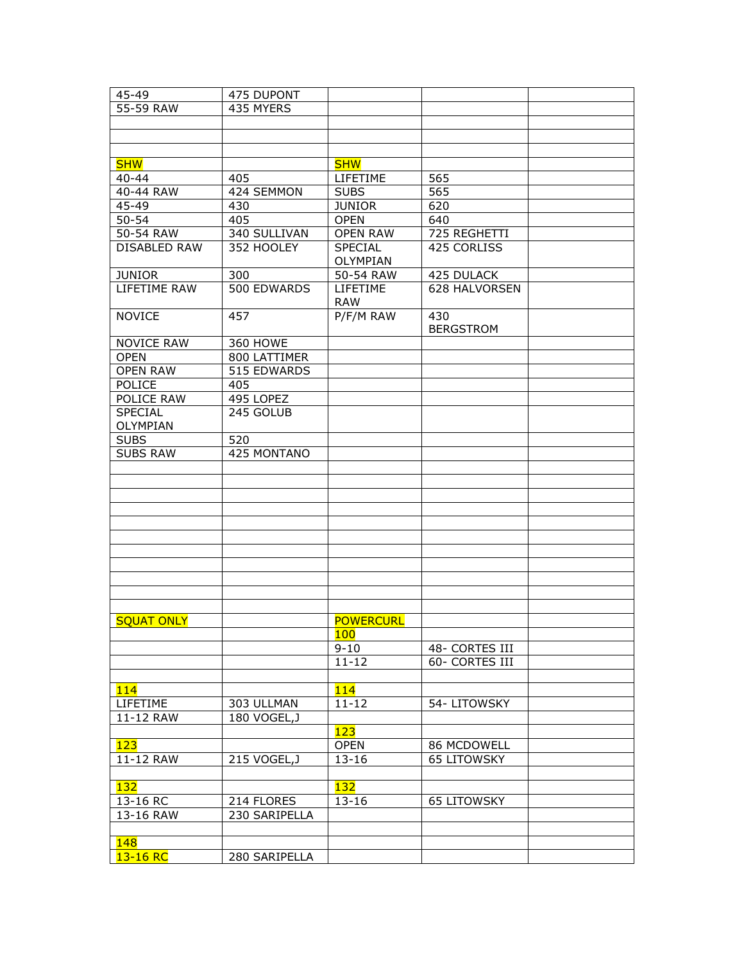| 45-49               | 475 DUPONT      |                        |                                  |  |
|---------------------|-----------------|------------------------|----------------------------------|--|
| 55-59 RAW           | 435 MYERS       |                        |                                  |  |
|                     |                 |                        |                                  |  |
|                     |                 |                        |                                  |  |
|                     |                 |                        |                                  |  |
| <b>SHW</b>          |                 | <b>SHW</b>             |                                  |  |
| $40 - 44$           | 405             | LIFETIME               | 565                              |  |
| 40-44 RAW           | 424 SEMMON      | <b>SUBS</b>            | 565                              |  |
| 45-49               | 430             | <b>JUNIOR</b>          | 620                              |  |
| $50 - 54$           | 405             | <b>OPEN</b>            | 640                              |  |
| 50-54 RAW           | 340 SULLIVAN    | <b>OPEN RAW</b>        | 725 REGHETTI                     |  |
| <b>DISABLED RAW</b> | 352 HOOLEY      | SPECIAL<br>OLYMPIAN    | 425 CORLISS                      |  |
| <b>JUNIOR</b>       | 300             | 50-54 RAW              | 425 DULACK                       |  |
| LIFETIME RAW        | 500 EDWARDS     | LIFETIME<br><b>RAW</b> | 628 HALVORSEN                    |  |
| <b>NOVICE</b>       | 457             | P/F/M RAW              | 430<br><b>BERGSTROM</b>          |  |
| <b>NOVICE RAW</b>   | <b>360 HOWE</b> |                        |                                  |  |
| <b>OPEN</b>         | 800 LATTIMER    |                        |                                  |  |
| <b>OPEN RAW</b>     | 515 EDWARDS     |                        |                                  |  |
| POLICE              | 405             |                        |                                  |  |
| POLICE RAW          | 495 LOPEZ       |                        |                                  |  |
| <b>SPECIAL</b>      | 245 GOLUB       |                        |                                  |  |
| OLYMPIAN            |                 |                        |                                  |  |
| <b>SUBS</b>         | 520             |                        |                                  |  |
| <b>SUBS RAW</b>     | 425 MONTANO     |                        |                                  |  |
|                     |                 |                        |                                  |  |
|                     |                 |                        |                                  |  |
|                     |                 |                        |                                  |  |
|                     |                 |                        |                                  |  |
|                     |                 |                        |                                  |  |
|                     |                 |                        |                                  |  |
|                     |                 |                        |                                  |  |
|                     |                 |                        |                                  |  |
|                     |                 |                        |                                  |  |
|                     |                 |                        |                                  |  |
|                     |                 |                        |                                  |  |
| <b>SQUAT ONLY</b>   |                 | <b>POWERCURL</b>       |                                  |  |
|                     |                 | 100<br>$9 - 10$        |                                  |  |
|                     |                 | $11 - 12$              | 48- CORTES III<br>60- CORTES III |  |
|                     |                 |                        |                                  |  |
| 114                 |                 | 114                    |                                  |  |
| LIFETIME            | 303 ULLMAN      | $11 - 12$              | 54-LITOWSKY                      |  |
| 11-12 RAW           | 180 VOGEL, J    |                        |                                  |  |
|                     |                 | 123                    |                                  |  |
| 123                 |                 | <b>OPEN</b>            | 86 MCDOWELL                      |  |
| 11-12 RAW           | 215 VOGEL, J    | $13 - 16$              | <b>65 LITOWSKY</b>               |  |
|                     |                 |                        |                                  |  |
| <b>132</b>          |                 | <b>132</b>             |                                  |  |
| 13-16 RC            | 214 FLORES      | $13 - 16$              | <b>65 LITOWSKY</b>               |  |
| 13-16 RAW           | 230 SARIPELLA   |                        |                                  |  |
|                     |                 |                        |                                  |  |
| 148                 |                 |                        |                                  |  |
| 13-16 RC            | 280 SARIPELLA   |                        |                                  |  |
|                     |                 |                        |                                  |  |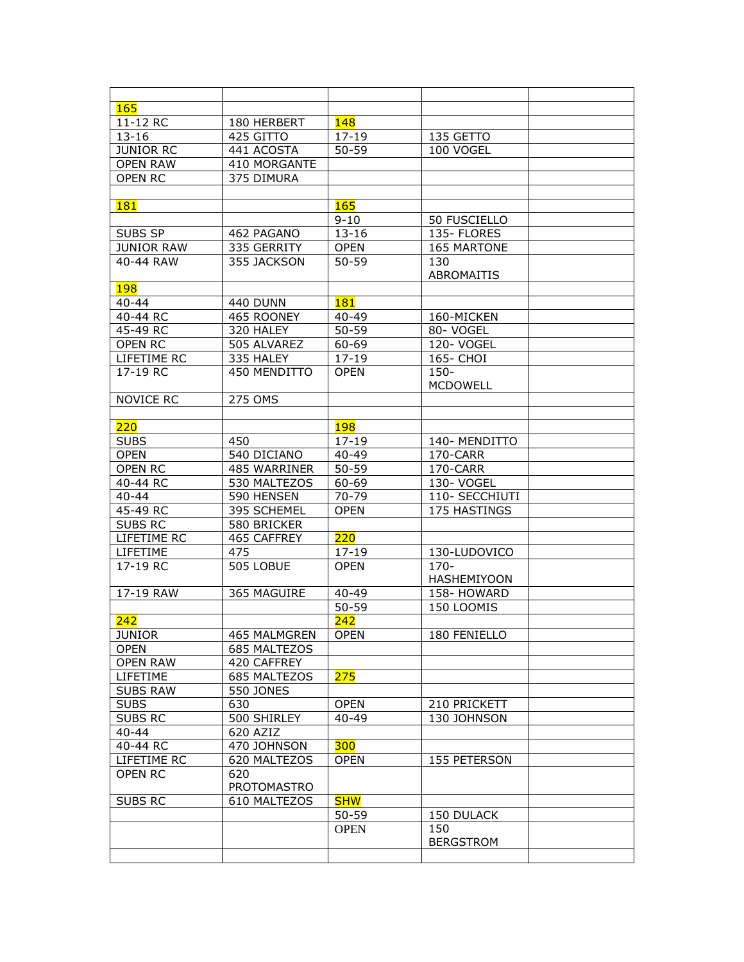| <b>165</b>        |                     |             |                    |  |
|-------------------|---------------------|-------------|--------------------|--|
| 11-12 RC          | 180 HERBERT         | <b>148</b>  |                    |  |
| $13 - 16$         | 425 GITTO           | $17 - 19$   | 135 GETTO          |  |
| <b>JUNIOR RC</b>  | 441 ACOSTA          | $50 - 59$   | 100 VOGEL          |  |
| <b>OPEN RAW</b>   | 410 MORGANTE        |             |                    |  |
| <b>OPEN RC</b>    | 375 DIMURA          |             |                    |  |
|                   |                     |             |                    |  |
| <b>181</b>        |                     | <b>165</b>  |                    |  |
|                   |                     | $9 - 10$    | 50 FUSCIELLO       |  |
| SUBS SP           | 462 PAGANO          | $13 - 16$   | 135- FLORES        |  |
| <b>JUNIOR RAW</b> | 335 GERRITY         | <b>OPEN</b> | <b>165 MARTONE</b> |  |
| 40-44 RAW         | 355 JACKSON         | $50 - 59$   | 130                |  |
|                   |                     |             | <b>ABROMAITIS</b>  |  |
| <b>198</b>        |                     |             |                    |  |
| $40 - 44$         | <b>440 DUNN</b>     | <b>181</b>  |                    |  |
| 40-44 RC          | 465 ROONEY          | $40 - 49$   | 160-MICKEN         |  |
| 45-49 RC          | 320 HALEY           | $50 - 59$   | 80- VOGEL          |  |
| <b>OPEN RC</b>    | 505 ALVAREZ         | 60-69       | 120- VOGEL         |  |
| LIFETIME RC       | 335 HALEY           | $17 - 19$   | 165- CHOI          |  |
| 17-19 RC          | 450 MENDITTO        | <b>OPEN</b> | $150 -$            |  |
|                   |                     |             | <b>MCDOWELL</b>    |  |
| <b>NOVICE RC</b>  | 275 OMS             |             |                    |  |
|                   |                     |             |                    |  |
| 220               |                     | <b>198</b>  |                    |  |
| <b>SUBS</b>       | 450                 | $17 - 19$   | 140- MENDITTO      |  |
| <b>OPEN</b>       | 540 DICIANO         | $40 - 49$   | 170-CARR           |  |
| <b>OPEN RC</b>    | 485 WARRINER        | $50 - 59$   | 170-CARR           |  |
| 40-44 RC          | 530 MALTEZOS        | 60-69       | 130- VOGEL         |  |
| $40 - 44$         | 590 HENSEN          | 70-79       | 110- SECCHIUTI     |  |
| 45-49 RC          | 395 SCHEMEL         | <b>OPEN</b> | 175 HASTINGS       |  |
| <b>SUBS RC</b>    | 580 BRICKER         |             |                    |  |
| LIFETIME RC       | 465 CAFFREY         | 220         |                    |  |
| LIFETIME          | 475                 | $17 - 19$   | 130-LUDOVICO       |  |
| 17-19 RC          | 505 LOBUE           | <b>OPEN</b> | $170 -$            |  |
|                   |                     |             | <b>HASHEMIYOON</b> |  |
| 17-19 RAW         | 365 MAGUIRE         | $40 - 49$   | 158- HOWARD        |  |
|                   |                     | $50 - 59$   | 150 LOOMIS         |  |
| 242               |                     | 242         |                    |  |
| <b>JUNIOR</b>     | <b>465 MALMGREN</b> | <b>OPEN</b> | 180 FENIELLO       |  |
| <b>OPEN</b>       | 685 MALTEZOS        |             |                    |  |
| <b>OPEN RAW</b>   | 420 CAFFREY         |             |                    |  |
| LIFETIME          | 685 MALTEZOS        | 275         |                    |  |
| <b>SUBS RAW</b>   | <b>550 JONES</b>    |             |                    |  |
| <b>SUBS</b>       | 630                 | <b>OPEN</b> | 210 PRICKETT       |  |
| <b>SUBS RC</b>    | 500 SHIRLEY         | $40 - 49$   | 130 JOHNSON        |  |
| $40 - 44$         | 620 AZIZ            |             |                    |  |
| 40-44 RC          | 470 JOHNSON         | 300         |                    |  |
| LIFETIME RC       | 620 MALTEZOS        | <b>OPEN</b> | 155 PETERSON       |  |
| <b>OPEN RC</b>    | 620                 |             |                    |  |
|                   | PROTOMASTRO         |             |                    |  |
| <b>SUBS RC</b>    | 610 MALTEZOS        | <b>SHW</b>  |                    |  |
|                   |                     | $50 - 59$   | 150 DULACK         |  |
|                   |                     | <b>OPEN</b> | 150                |  |
|                   |                     |             | <b>BERGSTROM</b>   |  |
|                   |                     |             |                    |  |